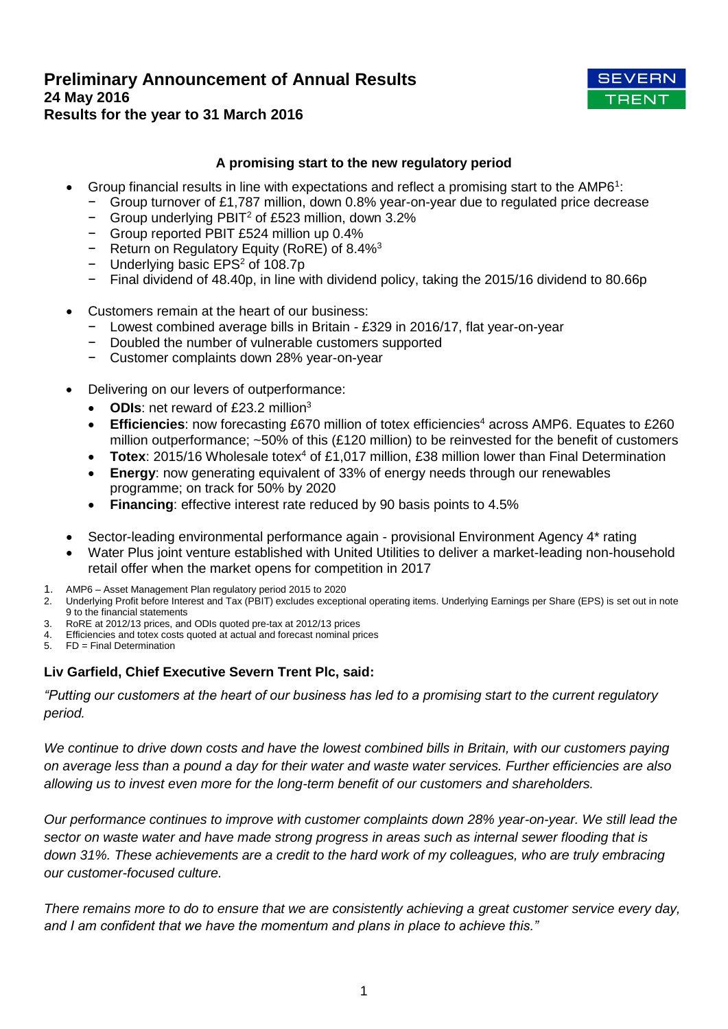# **Preliminary Announcement of Annual Results 24 May 2016 Results for the year to 31 March 2016**



# **A promising start to the new regulatory period**

- Group financial results in line with expectations and reflect a promising start to the AMP6<sup>1</sup>:
	- − Group turnover of £1,787 million, down 0.8% year-on-year due to regulated price decrease
	- − Group underlying PBIT<sup>2</sup> of £523 million, down 3.2%
	- − Group reported PBIT £524 million up 0.4%
	- − Return on Regulatory Equity (RoRE) of 8.4%<sup>3</sup>
	- − Underlying basic EPS<sup>2</sup> of 108.7p
	- − Final dividend of 48.40p, in line with dividend policy, taking the 2015/16 dividend to 80.66p
- Customers remain at the heart of our business:
	- − Lowest combined average bills in Britain £329 in 2016/17, flat year-on-year
	- − Doubled the number of vulnerable customers supported
	- − Customer complaints down 28% year-on-year
- Delivering on our levers of outperformance:
	- ODIs: net reward of £23.2 million<sup>3</sup>
	- **Efficiencies:** now forecasting £670 million of totex efficiencies<sup>4</sup> across AMP6. Equates to £260 million outperformance; ~50% of this (£120 million) to be reinvested for the benefit of customers
	- **Totex**: 2015/16 Wholesale totex<sup>4</sup> of £1,017 million, £38 million lower than Final Determination
	- **Energy**: now generating equivalent of 33% of energy needs through our renewables programme; on track for 50% by 2020
	- **Financing**: effective interest rate reduced by 90 basis points to 4.5%
- Sector-leading environmental performance again provisional Environment Agency 4\* rating
- Water Plus joint venture established with United Utilities to deliver a market-leading non-household retail offer when the market opens for competition in 2017
- 1. AMP6 Asset Management Plan regulatory period 2015 to 2020
- 2. Underlying Profit before Interest and Tax (PBIT) excludes exceptional operating items. Underlying Earnings per Share (EPS) is set out in note 9 to the financial statements
- 3. RoRE at 2012/13 prices, and ODIs quoted pre-tax at 2012/13 prices
- 4. Efficiencies and totex costs quoted at actual and forecast nominal prices
- 5. FD = Final Determination

# **Liv Garfield, Chief Executive Severn Trent Plc, said:**

*"Putting our customers at the heart of our business has led to a promising start to the current regulatory period.*

*We continue to drive down costs and have the lowest combined bills in Britain, with our customers paying on average less than a pound a day for their water and waste water services. Further efficiencies are also allowing us to invest even more for the long-term benefit of our customers and shareholders.*

*Our performance continues to improve with customer complaints down 28% year-on-year. We still lead the sector on waste water and have made strong progress in areas such as internal sewer flooding that is down 31%. These achievements are a credit to the hard work of my colleagues, who are truly embracing our customer-focused culture.*

*There remains more to do to ensure that we are consistently achieving a great customer service every day, and I am confident that we have the momentum and plans in place to achieve this."*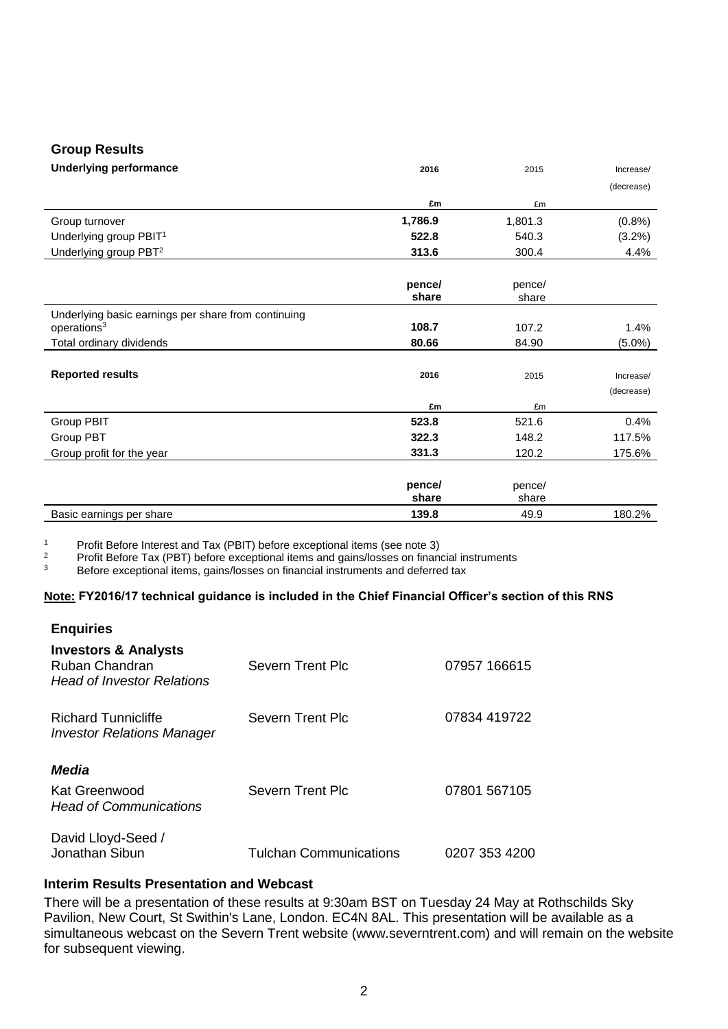# **Group Results**

| <b>Underlying performance</b>                       | 2016    | 2015    | Increase/  |
|-----------------------------------------------------|---------|---------|------------|
|                                                     |         |         | (decrease) |
|                                                     | £m      | £m      |            |
| Group turnover                                      | 1,786.9 | 1,801.3 | (0.8% )    |
| Underlying group PBIT <sup>1</sup>                  | 522.8   | 540.3   | (3.2%)     |
| Underlying group PBT <sup>2</sup>                   | 313.6   | 300.4   | 4.4%       |
|                                                     |         |         |            |
|                                                     | pence/  | pence/  |            |
|                                                     | share   | share   |            |
| Underlying basic earnings per share from continuing |         |         |            |
| operations <sup>3</sup>                             | 108.7   | 107.2   | 1.4%       |
| Total ordinary dividends                            | 80.66   | 84.90   | $(5.0\%)$  |
|                                                     |         |         |            |
| <b>Reported results</b>                             | 2016    | 2015    | Increase/  |
|                                                     |         |         | (decrease) |
|                                                     | £m      | £m      |            |
| Group PBIT                                          | 523.8   | 521.6   | 0.4%       |
| Group PBT                                           | 322.3   | 148.2   | 117.5%     |
| Group profit for the year                           | 331.3   | 120.2   | 175.6%     |
|                                                     |         |         |            |
|                                                     | pence/  | pence/  |            |
|                                                     | share   | share   |            |
| Basic earnings per share                            | 139.8   | 49.9    | 180.2%     |

1 Profit Before Interest and Tax (PBIT) before exceptional items (see note 3)<br>2 Profit Before Tax (PRT) before exceptional items and gains/losses on finance

<sup>2</sup> Profit Before Tax (PBT) before exceptional items and gains/losses on financial instruments<br><sup>3</sup> Before exceptional items, gains/losses on financial instruments and deferred tax

Before exceptional items, gains/losses on financial instruments and deferred tax

### **Note: FY2016/17 technical guidance is included in the Chief Financial Officer's section of this RNS**

| <b>Enquiries</b>                                                                       |                               |               |
|----------------------------------------------------------------------------------------|-------------------------------|---------------|
| <b>Investors &amp; Analysts</b><br>Ruban Chandran<br><b>Head of Investor Relations</b> | Severn Trent Plc              | 07957 166615  |
| <b>Richard Tunnicliffe</b><br><b>Investor Relations Manager</b>                        | Severn Trent Plc              | 07834 419722  |
| <b>Media</b><br>Kat Greenwood<br><b>Head of Communications</b>                         | Severn Trent Plc              | 07801 567105  |
| David Lloyd-Seed /<br>Jonathan Sibun                                                   | <b>Tulchan Communications</b> | 0207 353 4200 |

# **Interim Results Presentation and Webcast**

There will be a presentation of these results at 9:30am BST on Tuesday 24 May at Rothschilds Sky Pavilion, New Court, St Swithin's Lane, London. EC4N 8AL. This presentation will be available as a simultaneous webcast on the Severn Trent website (www.severntrent.com) and will remain on the website for subsequent viewing.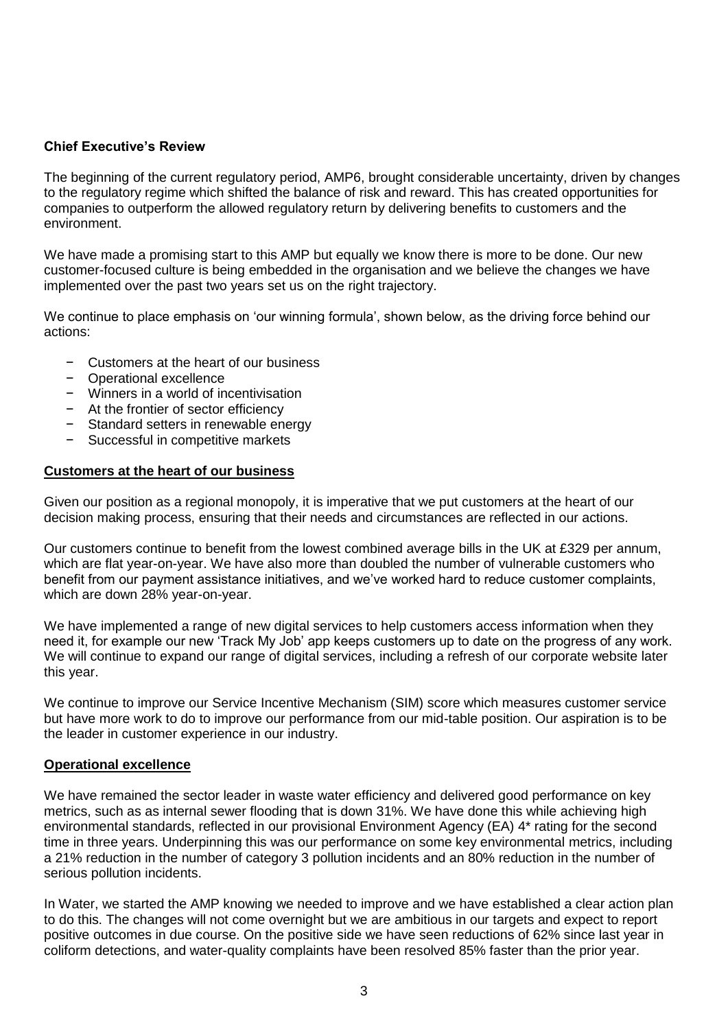# **Chief Executive's Review**

The beginning of the current regulatory period, AMP6, brought considerable uncertainty, driven by changes to the regulatory regime which shifted the balance of risk and reward. This has created opportunities for companies to outperform the allowed regulatory return by delivering benefits to customers and the environment.

We have made a promising start to this AMP but equally we know there is more to be done. Our new customer-focused culture is being embedded in the organisation and we believe the changes we have implemented over the past two years set us on the right trajectory.

We continue to place emphasis on 'our winning formula', shown below, as the driving force behind our actions:

- − Customers at the heart of our business
- − Operational excellence
- − Winners in a world of incentivisation
- − At the frontier of sector efficiency
- − Standard setters in renewable energy
- − Successful in competitive markets

# **Customers at the heart of our business**

Given our position as a regional monopoly, it is imperative that we put customers at the heart of our decision making process, ensuring that their needs and circumstances are reflected in our actions.

Our customers continue to benefit from the lowest combined average bills in the UK at £329 per annum, which are flat year-on-year. We have also more than doubled the number of vulnerable customers who benefit from our payment assistance initiatives, and we've worked hard to reduce customer complaints, which are down 28% year-on-year.

We have implemented a range of new digital services to help customers access information when they need it, for example our new 'Track My Job' app keeps customers up to date on the progress of any work. We will continue to expand our range of digital services, including a refresh of our corporate website later this year.

We continue to improve our Service Incentive Mechanism (SIM) score which measures customer service but have more work to do to improve our performance from our mid-table position. Our aspiration is to be the leader in customer experience in our industry.

# **Operational excellence**

We have remained the sector leader in waste water efficiency and delivered good performance on key metrics, such as as internal sewer flooding that is down 31%. We have done this while achieving high environmental standards, reflected in our provisional Environment Agency (EA) 4\* rating for the second time in three years. Underpinning this was our performance on some key environmental metrics, including a 21% reduction in the number of category 3 pollution incidents and an 80% reduction in the number of serious pollution incidents.

In Water, we started the AMP knowing we needed to improve and we have established a clear action plan to do this. The changes will not come overnight but we are ambitious in our targets and expect to report positive outcomes in due course. On the positive side we have seen reductions of 62% since last year in coliform detections, and water-quality complaints have been resolved 85% faster than the prior year.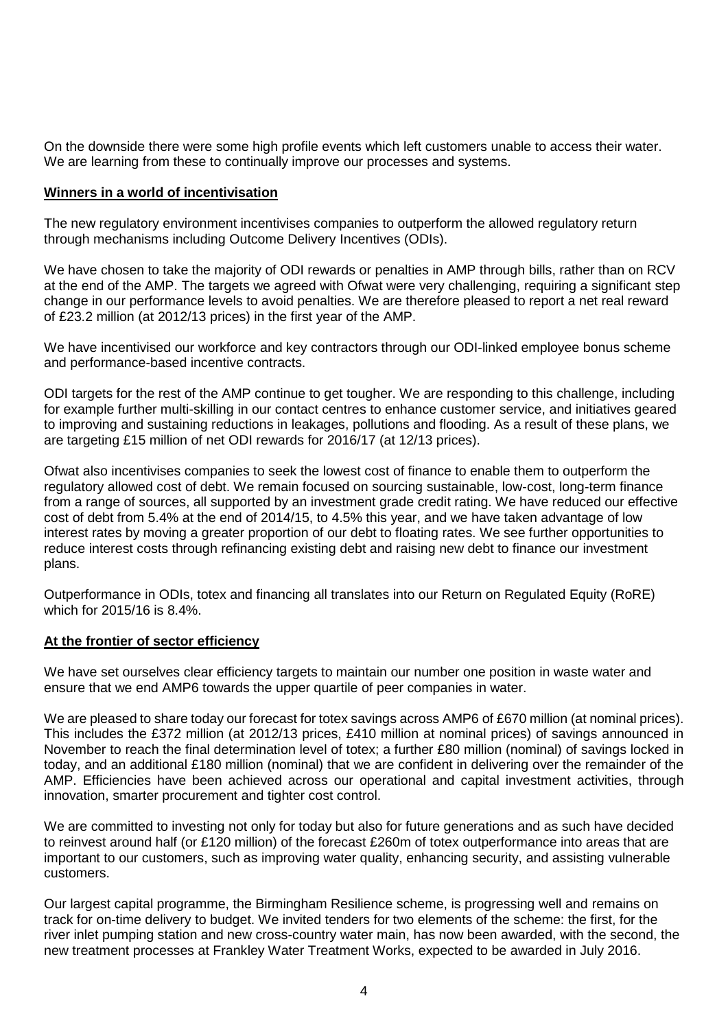On the downside there were some high profile events which left customers unable to access their water. We are learning from these to continually improve our processes and systems.

# **Winners in a world of incentivisation**

The new regulatory environment incentivises companies to outperform the allowed regulatory return through mechanisms including Outcome Delivery Incentives (ODIs).

We have chosen to take the majority of ODI rewards or penalties in AMP through bills, rather than on RCV at the end of the AMP. The targets we agreed with Ofwat were very challenging, requiring a significant step change in our performance levels to avoid penalties. We are therefore pleased to report a net real reward of £23.2 million (at 2012/13 prices) in the first year of the AMP.

We have incentivised our workforce and key contractors through our ODI-linked employee bonus scheme and performance-based incentive contracts.

ODI targets for the rest of the AMP continue to get tougher. We are responding to this challenge, including for example further multi-skilling in our contact centres to enhance customer service, and initiatives geared to improving and sustaining reductions in leakages, pollutions and flooding. As a result of these plans, we are targeting £15 million of net ODI rewards for 2016/17 (at 12/13 prices).

Ofwat also incentivises companies to seek the lowest cost of finance to enable them to outperform the regulatory allowed cost of debt. We remain focused on sourcing sustainable, low-cost, long-term finance from a range of sources, all supported by an investment grade credit rating. We have reduced our effective cost of debt from 5.4% at the end of 2014/15, to 4.5% this year, and we have taken advantage of low interest rates by moving a greater proportion of our debt to floating rates. We see further opportunities to reduce interest costs through refinancing existing debt and raising new debt to finance our investment plans.

Outperformance in ODIs, totex and financing all translates into our Return on Regulated Equity (RoRE) which for 2015/16 is 8.4%.

### **At the frontier of sector efficiency**

We have set ourselves clear efficiency targets to maintain our number one position in waste water and ensure that we end AMP6 towards the upper quartile of peer companies in water.

We are pleased to share today our forecast for totex savings across AMP6 of £670 million (at nominal prices). This includes the £372 million (at 2012/13 prices, £410 million at nominal prices) of savings announced in November to reach the final determination level of totex; a further £80 million (nominal) of savings locked in today, and an additional £180 million (nominal) that we are confident in delivering over the remainder of the AMP. Efficiencies have been achieved across our operational and capital investment activities, through innovation, smarter procurement and tighter cost control.

We are committed to investing not only for today but also for future generations and as such have decided to reinvest around half (or £120 million) of the forecast £260m of totex outperformance into areas that are important to our customers, such as improving water quality, enhancing security, and assisting vulnerable customers.

Our largest capital programme, the Birmingham Resilience scheme, is progressing well and remains on track for on-time delivery to budget. We invited tenders for two elements of the scheme: the first, for the river inlet pumping station and new cross-country water main, has now been awarded, with the second, the new treatment processes at Frankley Water Treatment Works, expected to be awarded in July 2016.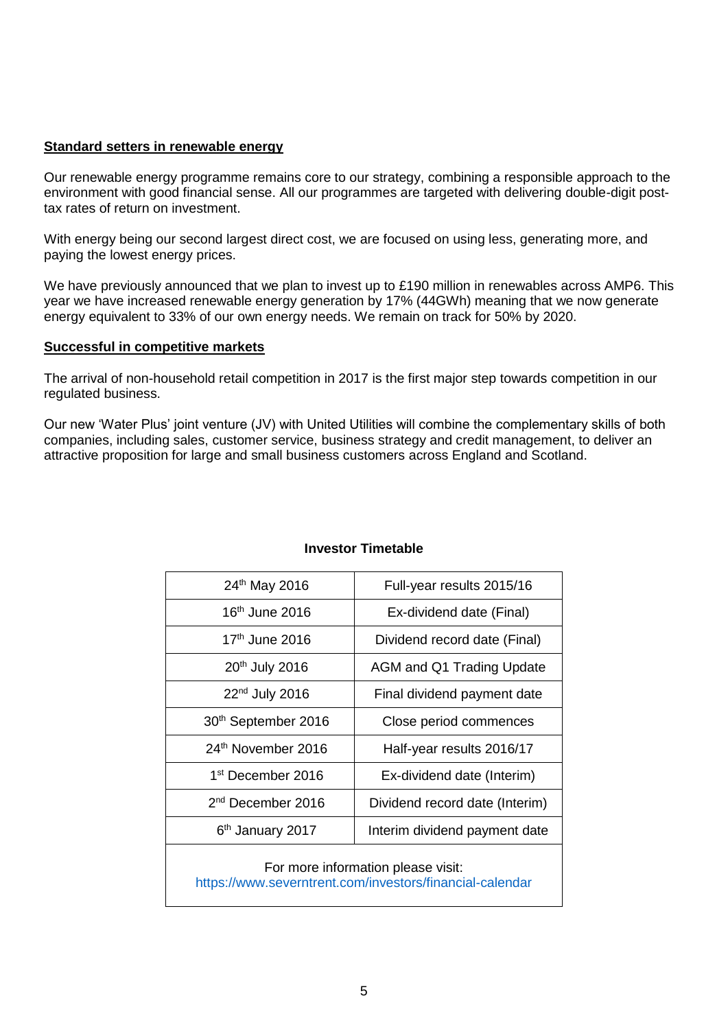# **Standard setters in renewable energy**

Our renewable energy programme remains core to our strategy, combining a responsible approach to the environment with good financial sense. All our programmes are targeted with delivering double-digit posttax rates of return on investment.

With energy being our second largest direct cost, we are focused on using less, generating more, and paying the lowest energy prices.

We have previously announced that we plan to invest up to £190 million in renewables across AMP6. This year we have increased renewable energy generation by 17% (44GWh) meaning that we now generate energy equivalent to 33% of our own energy needs. We remain on track for 50% by 2020.

### **Successful in competitive markets**

The arrival of non-household retail competition in 2017 is the first major step towards competition in our regulated business.

Our new 'Water Plus' joint venture (JV) with United Utilities will combine the complementary skills of both companies, including sales, customer service, business strategy and credit management, to deliver an attractive proposition for large and small business customers across England and Scotland.

| 24th May 2016                                                                                  | Full-year results 2015/16      |  |
|------------------------------------------------------------------------------------------------|--------------------------------|--|
| $16th$ June 2016                                                                               | Ex-dividend date (Final)       |  |
| $17th$ June 2016                                                                               | Dividend record date (Final)   |  |
| 20 <sup>th</sup> July 2016                                                                     | AGM and Q1 Trading Update      |  |
| $22nd$ July 2016                                                                               | Final dividend payment date    |  |
| 30 <sup>th</sup> September 2016                                                                | Close period commences         |  |
| 24 <sup>th</sup> November 2016                                                                 | Half-year results 2016/17      |  |
| 1 <sup>st</sup> December 2016                                                                  | Ex-dividend date (Interim)     |  |
| 2 <sup>nd</sup> December 2016                                                                  | Dividend record date (Interim) |  |
| 6 <sup>th</sup> January 2017                                                                   | Interim dividend payment date  |  |
| For more information please visit:<br>https://www.severntrent.com/investors/financial-calendar |                                |  |

### **Investor Timetable**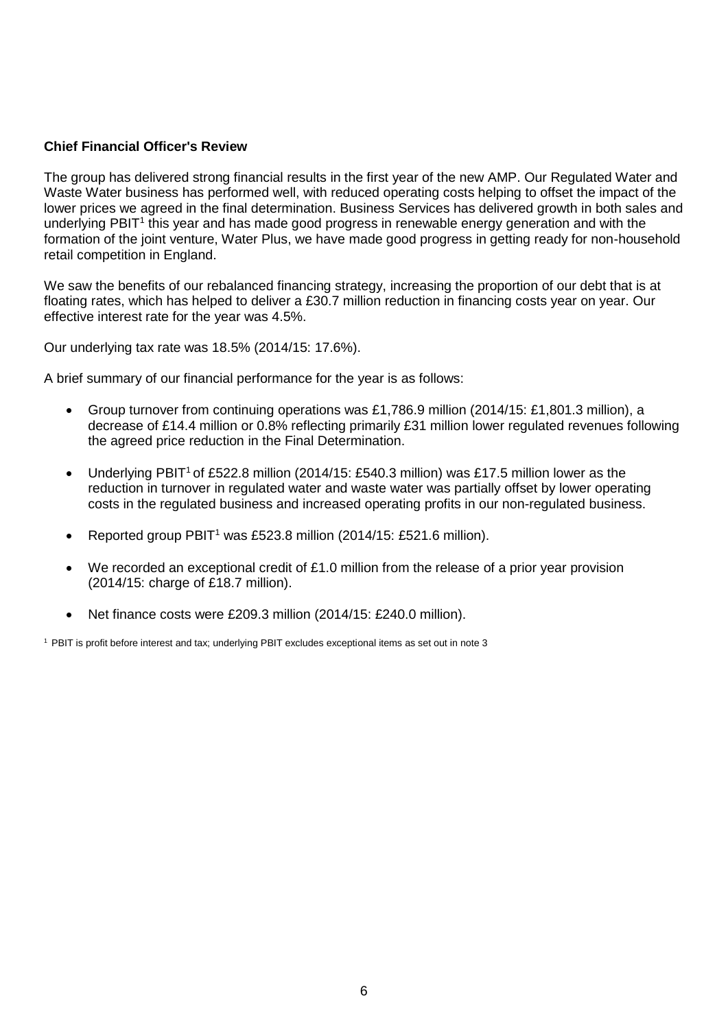# **Chief Financial Officer's Review**

The group has delivered strong financial results in the first year of the new AMP. Our Regulated Water and Waste Water business has performed well, with reduced operating costs helping to offset the impact of the lower prices we agreed in the final determination. Business Services has delivered growth in both sales and underlying PBIT<sup>1</sup> this year and has made good progress in renewable energy generation and with the formation of the joint venture, Water Plus, we have made good progress in getting ready for non-household retail competition in England.

We saw the benefits of our rebalanced financing strategy, increasing the proportion of our debt that is at floating rates, which has helped to deliver a £30.7 million reduction in financing costs year on year. Our effective interest rate for the year was 4.5%.

Our underlying tax rate was 18.5% (2014/15: 17.6%).

A brief summary of our financial performance for the year is as follows:

- Group turnover from continuing operations was £1,786.9 million (2014/15: £1,801.3 million), a decrease of £14.4 million or 0.8% reflecting primarily £31 million lower regulated revenues following the agreed price reduction in the Final Determination.
- Underlying PBIT<sup>1</sup> of £522.8 million (2014/15: £540.3 million) was £17.5 million lower as the reduction in turnover in regulated water and waste water was partially offset by lower operating costs in the regulated business and increased operating profits in our non-regulated business.
- Reported group PBIT<sup>1</sup> was £523.8 million (2014/15: £521.6 million).
- We recorded an exceptional credit of £1.0 million from the release of a prior year provision (2014/15: charge of £18.7 million).
- Net finance costs were £209.3 million (2014/15: £240.0 million).

<sup>1</sup> PBIT is profit before interest and tax; underlying PBIT excludes exceptional items as set out in note 3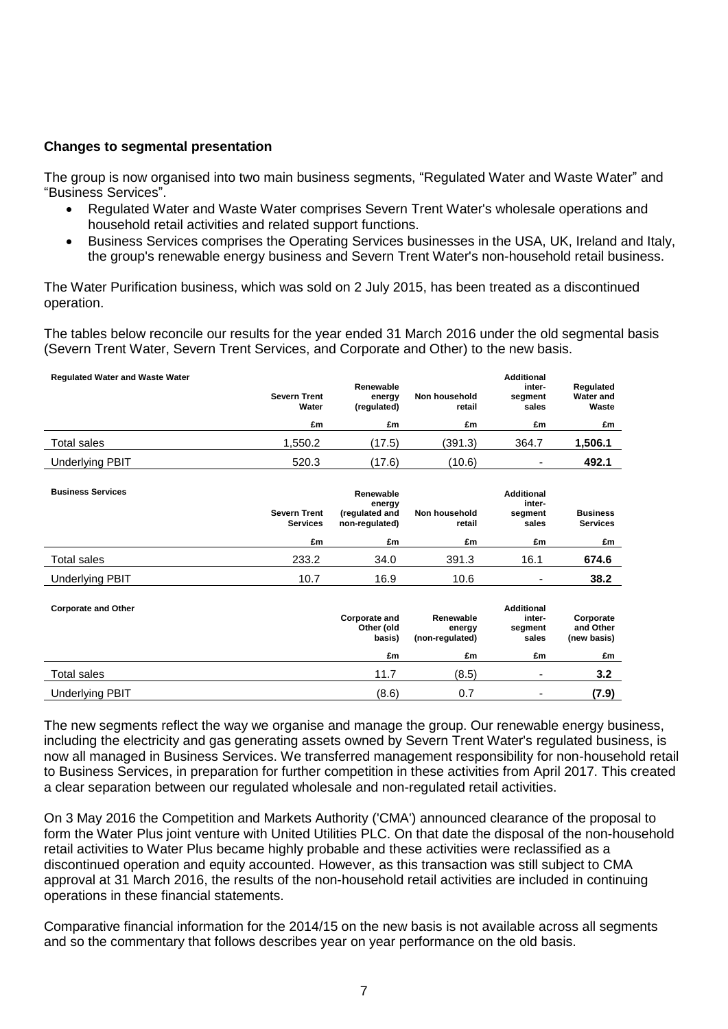# **Changes to segmental presentation**

The group is now organised into two main business segments, "Regulated Water and Waste Water" and "Business Services".

- Regulated Water and Waste Water comprises Severn Trent Water's wholesale operations and household retail activities and related support functions.
- Business Services comprises the Operating Services businesses in the USA, UK, Ireland and Italy, the group's renewable energy business and Severn Trent Water's non-household retail business.

The Water Purification business, which was sold on 2 July 2015, has been treated as a discontinued operation.

The tables below reconcile our results for the year ended 31 March 2016 under the old segmental basis (Severn Trent Water, Severn Trent Services, and Corporate and Other) to the new basis.

| <b>Requlated Water and Waste Water</b> | <b>Severn Trent</b><br>Water | Renewable<br>energy<br>(regulated) | Non household<br>retail | <b>Additional</b><br>inter-<br>segment<br>sales | Regulated<br><b>Water and</b><br>Waste |
|----------------------------------------|------------------------------|------------------------------------|-------------------------|-------------------------------------------------|----------------------------------------|
|                                        | £m                           | £m                                 | £m                      | £m                                              | £m                                     |
| Total sales                            | 1.550.2                      | (17.5)                             | (391.3)                 | 364.7                                           | 1,506.1                                |
| Underlying PBIT                        | 520.3                        | (17.6)                             | (10.6)                  | ۰                                               | 492.1                                  |

| <b>Business Services</b> | <b>Severn Trent</b><br><b>Services</b> | Renewable<br>energy<br>(regulated and<br>non-regulated) | Non household<br>retail | <b>Additional</b><br>inter-<br>segment<br>sales | <b>Business</b><br><b>Services</b> |
|--------------------------|----------------------------------------|---------------------------------------------------------|-------------------------|-------------------------------------------------|------------------------------------|
|                          | £m                                     | £m                                                      | £m                      | £m                                              | £m                                 |
| Total sales              | 233.2                                  | 34.0                                                    | 391.3                   | 16.1                                            | 674.6                              |
| <b>Underlying PBIT</b>   | 10.7                                   | 16.9                                                    | 10.6                    | ۰                                               | 38.2                               |

| <b>Corporate and Other</b> | Corporate and<br>Other (old<br>basis) | Renewable<br>energy<br>(non-regulated) | <b>Additional</b><br>inter-<br>segment<br>sales | Corporate<br>and Other<br>(new basis) |
|----------------------------|---------------------------------------|----------------------------------------|-------------------------------------------------|---------------------------------------|
|                            | £m                                    | £m                                     | £m                                              | £m                                    |
| Total sales                | 11.7                                  | (8.5)                                  | $\overline{\phantom{0}}$                        | 3.2                                   |
| <b>Underlying PBIT</b>     | (8.6)                                 | 0.7                                    | ۰                                               | (7.9)                                 |

The new segments reflect the way we organise and manage the group. Our renewable energy business, including the electricity and gas generating assets owned by Severn Trent Water's regulated business, is now all managed in Business Services. We transferred management responsibility for non-household retail to Business Services, in preparation for further competition in these activities from April 2017. This created a clear separation between our regulated wholesale and non-regulated retail activities.

On 3 May 2016 the Competition and Markets Authority ('CMA') announced clearance of the proposal to form the Water Plus joint venture with United Utilities PLC. On that date the disposal of the non-household retail activities to Water Plus became highly probable and these activities were reclassified as a discontinued operation and equity accounted. However, as this transaction was still subject to CMA approval at 31 March 2016, the results of the non-household retail activities are included in continuing operations in these financial statements.

Comparative financial information for the 2014/15 on the new basis is not available across all segments and so the commentary that follows describes year on year performance on the old basis.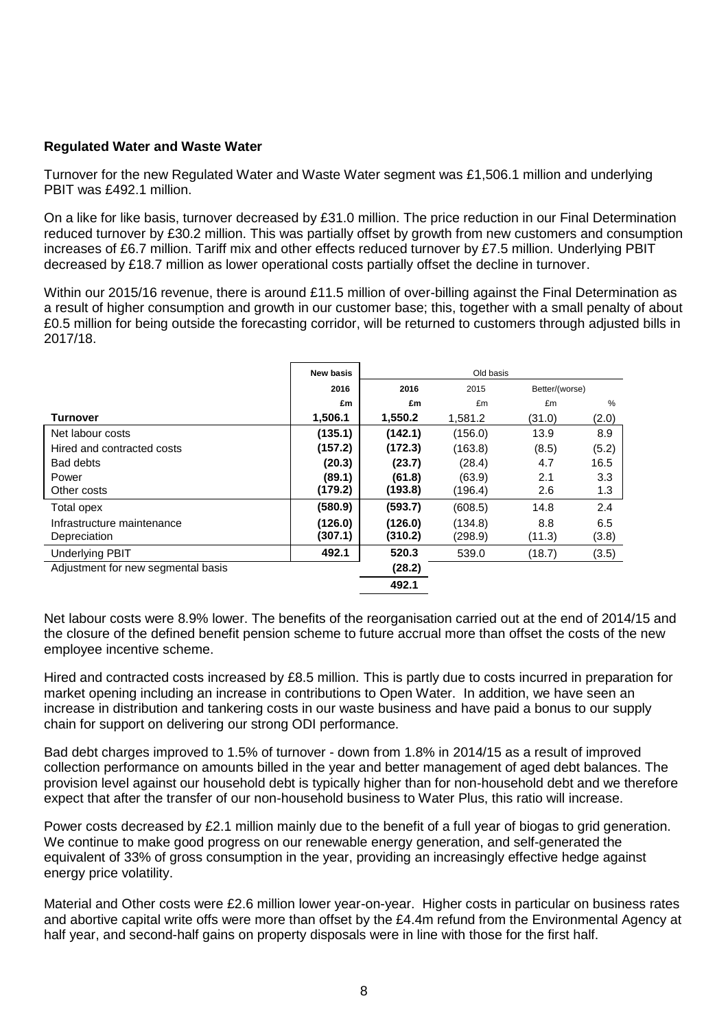# **Regulated Water and Waste Water**

Turnover for the new Regulated Water and Waste Water segment was £1,506.1 million and underlying PBIT was £492.1 million.

On a like for like basis, turnover decreased by £31.0 million. The price reduction in our Final Determination reduced turnover by £30.2 million. This was partially offset by growth from new customers and consumption increases of £6.7 million. Tariff mix and other effects reduced turnover by £7.5 million. Underlying PBIT decreased by £18.7 million as lower operational costs partially offset the decline in turnover.

Within our 2015/16 revenue, there is around £11.5 million of over-billing against the Final Determination as a result of higher consumption and growth in our customer base; this, together with a small penalty of about £0.5 million for being outside the forecasting corridor, will be returned to customers through adjusted bills in 2017/18.

|                                    | New basis |         | Old basis |                |       |
|------------------------------------|-----------|---------|-----------|----------------|-------|
|                                    | 2016      | 2016    | 2015      | Better/(worse) |       |
|                                    | £m        | £m      | £m        | £m             | $\%$  |
| Turnover                           | 1,506.1   | 1,550.2 | 1,581.2   | (31.0)         | (2.0) |
| Net labour costs                   | (135.1)   | (142.1) | (156.0)   | 13.9           | 8.9   |
| Hired and contracted costs         | (157.2)   | (172.3) | (163.8)   | (8.5)          | (5.2) |
| Bad debts                          | (20.3)    | (23.7)  | (28.4)    | 4.7            | 16.5  |
| Power                              | (89.1)    | (61.8)  | (63.9)    | 2.1            | 3.3   |
| Other costs                        | (179.2)   | (193.8) | (196.4)   | 2.6            | 1.3   |
| Total opex                         | (580.9)   | (593.7) | (608.5)   | 14.8           | 2.4   |
| Infrastructure maintenance         | (126.0)   | (126.0) | (134.8)   | 8.8            | 6.5   |
| Depreciation                       | (307.1)   | (310.2) | (298.9)   | (11.3)         | (3.8) |
| <b>Underlying PBIT</b>             | 492.1     | 520.3   | 539.0     | (18.7)         | (3.5) |
| Adjustment for new segmental basis |           | (28.2)  |           |                |       |
|                                    |           | 492.1   |           |                |       |

Net labour costs were 8.9% lower. The benefits of the reorganisation carried out at the end of 2014/15 and the closure of the defined benefit pension scheme to future accrual more than offset the costs of the new employee incentive scheme.

Hired and contracted costs increased by £8.5 million. This is partly due to costs incurred in preparation for market opening including an increase in contributions to Open Water. In addition, we have seen an increase in distribution and tankering costs in our waste business and have paid a bonus to our supply chain for support on delivering our strong ODI performance.

Bad debt charges improved to 1.5% of turnover - down from 1.8% in 2014/15 as a result of improved collection performance on amounts billed in the year and better management of aged debt balances. The provision level against our household debt is typically higher than for non-household debt and we therefore expect that after the transfer of our non-household business to Water Plus, this ratio will increase.

Power costs decreased by £2.1 million mainly due to the benefit of a full year of biogas to grid generation. We continue to make good progress on our renewable energy generation, and self-generated the equivalent of 33% of gross consumption in the year, providing an increasingly effective hedge against energy price volatility.

Material and Other costs were £2.6 million lower year-on-year. Higher costs in particular on business rates and abortive capital write offs were more than offset by the £4.4m refund from the Environmental Agency at half year, and second-half gains on property disposals were in line with those for the first half.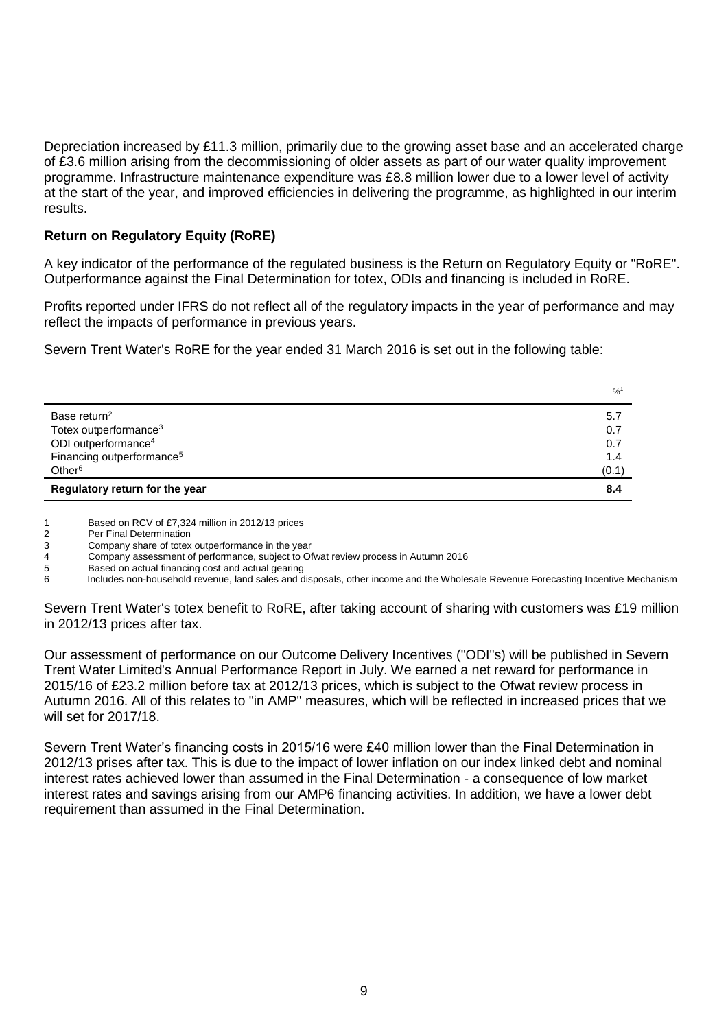Depreciation increased by £11.3 million, primarily due to the growing asset base and an accelerated charge of £3.6 million arising from the decommissioning of older assets as part of our water quality improvement programme. Infrastructure maintenance expenditure was £8.8 million lower due to a lower level of activity at the start of the year, and improved efficiencies in delivering the programme, as highlighted in our interim results.

# **Return on Regulatory Equity (RoRE)**

A key indicator of the performance of the regulated business is the Return on Regulatory Equity or "RoRE". Outperformance against the Final Determination for totex, ODIs and financing is included in RoRE.

Profits reported under IFRS do not reflect all of the regulatory impacts in the year of performance and may reflect the impacts of performance in previous years.

Severn Trent Water's RoRE for the year ended 31 March 2016 is set out in the following table:

|                                       | $^{9}/_{0}^{1}$ |
|---------------------------------------|-----------------|
| Base return <sup>2</sup>              | 5.7             |
| Totex outperformance <sup>3</sup>     | 0.7             |
| ODI outperformance <sup>4</sup>       | 0.7             |
| Financing outperformance <sup>5</sup> | 1.4             |
| Other <sup>6</sup>                    | (0.1)           |
| Regulatory return for the year        | 8.4             |

1 Based on RCV of £7,324 million in 2012/13 prices

2 Per Final Determination<br>3 Company share of totex

Company share of totex outperformance in the year

4 Company assessment of performance, subject to Ofwat review process in Autumn 2016

5 Based on actual financing cost and actual gearing

6 Includes non-household revenue, land sales and disposals, other income and the Wholesale Revenue Forecasting Incentive Mechanism

Severn Trent Water's totex benefit to RoRE, after taking account of sharing with customers was £19 million in 2012/13 prices after tax.

Our assessment of performance on our Outcome Delivery Incentives ("ODI"s) will be published in Severn Trent Water Limited's Annual Performance Report in July. We earned a net reward for performance in 2015/16 of £23.2 million before tax at 2012/13 prices, which is subject to the Ofwat review process in Autumn 2016. All of this relates to "in AMP" measures, which will be reflected in increased prices that we will set for 2017/18.

Severn Trent Water's financing costs in 2015/16 were £40 million lower than the Final Determination in 2012/13 prises after tax. This is due to the impact of lower inflation on our index linked debt and nominal interest rates achieved lower than assumed in the Final Determination - a consequence of low market interest rates and savings arising from our AMP6 financing activities. In addition, we have a lower debt requirement than assumed in the Final Determination.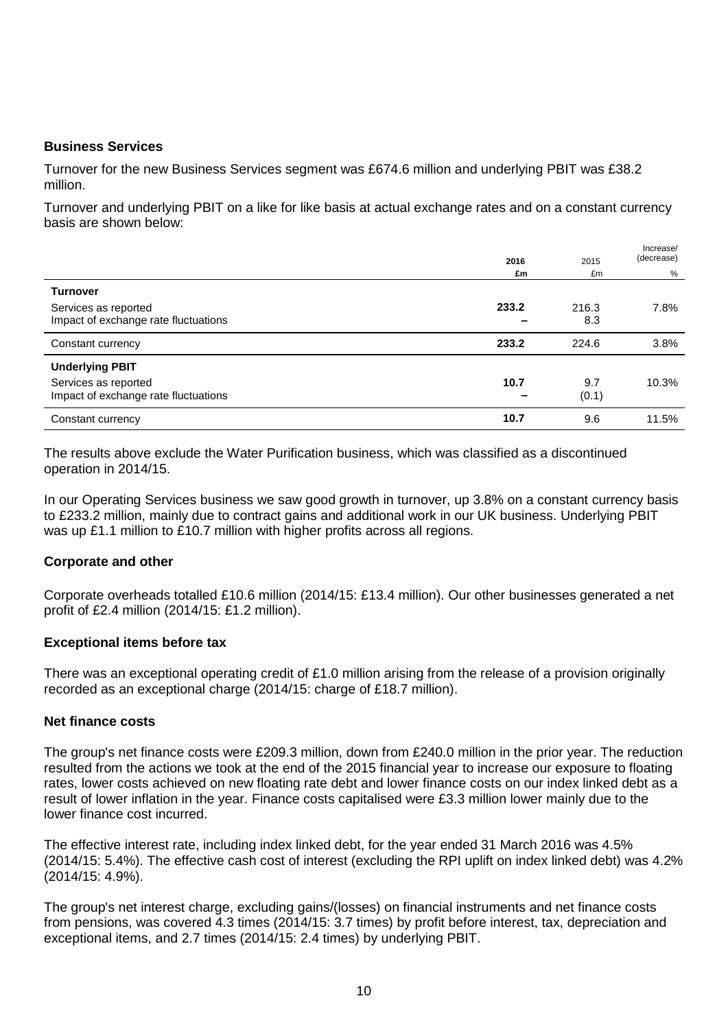# **Business Services**

Turnover for the new Business Services segment was £674.6 million and underlying PBIT was £38.2 million.

Turnover and underlying PBIT on a like for like basis at actual exchange rates and on a constant currency basis are shown below:

|                                      | 2016  | 2015  | Increase/<br>(decrease) |
|--------------------------------------|-------|-------|-------------------------|
|                                      | £m    | £m    | %                       |
| <b>Turnover</b>                      |       |       |                         |
| Services as reported                 | 233.2 | 216.3 | 7.8%                    |
| Impact of exchange rate fluctuations |       | 8.3   |                         |
| Constant currency                    | 233.2 | 224.6 | 3.8%                    |
| <b>Underlying PBIT</b>               |       |       |                         |
| Services as reported                 | 10.7  | 9.7   | 10.3%                   |
| Impact of exchange rate fluctuations |       | (0.1) |                         |
| Constant currency                    | 10.7  | 9.6   | 11.5%                   |

The results above exclude the Water Purification business, which was classified as a discontinued operation in 2014/15.

In our Operating Services business we saw good growth in turnover, up 3.8% on a constant currency basis to £233.2 million, mainly due to contract gains and additional work in our UK business. Underlying PBIT was up £1.1 million to £10.7 million with higher profits across all regions.

# **Corporate and other**

Corporate overheads totalled £10.6 million (2014/15: £13.4 million). Our other businesses generated a net profit of £2.4 million (2014/15: £1.2 million).

### **Exceptional items before tax**

There was an exceptional operating credit of £1.0 million arising from the release of a provision originally recorded as an exceptional charge (2014/15: charge of £18.7 million).

### **Net finance costs**

The group's net finance costs were £209.3 million, down from £240.0 million in the prior year. The reduction resulted from the actions we took at the end of the 2015 financial year to increase our exposure to floating rates, lower costs achieved on new floating rate debt and lower finance costs on our index linked debt as a result of lower inflation in the year. Finance costs capitalised were £3.3 million lower mainly due to the lower finance cost incurred.

The effective interest rate, including index linked debt, for the year ended 31 March 2016 was 4.5% (2014/15: 5.4%). The effective cash cost of interest (excluding the RPI uplift on index linked debt) was 4.2% (2014/15: 4.9%).

The group's net interest charge, excluding gains/(losses) on financial instruments and net finance costs from pensions, was covered 4.3 times (2014/15: 3.7 times) by profit before interest, tax, depreciation and exceptional items, and 2.7 times (2014/15: 2.4 times) by underlying PBIT.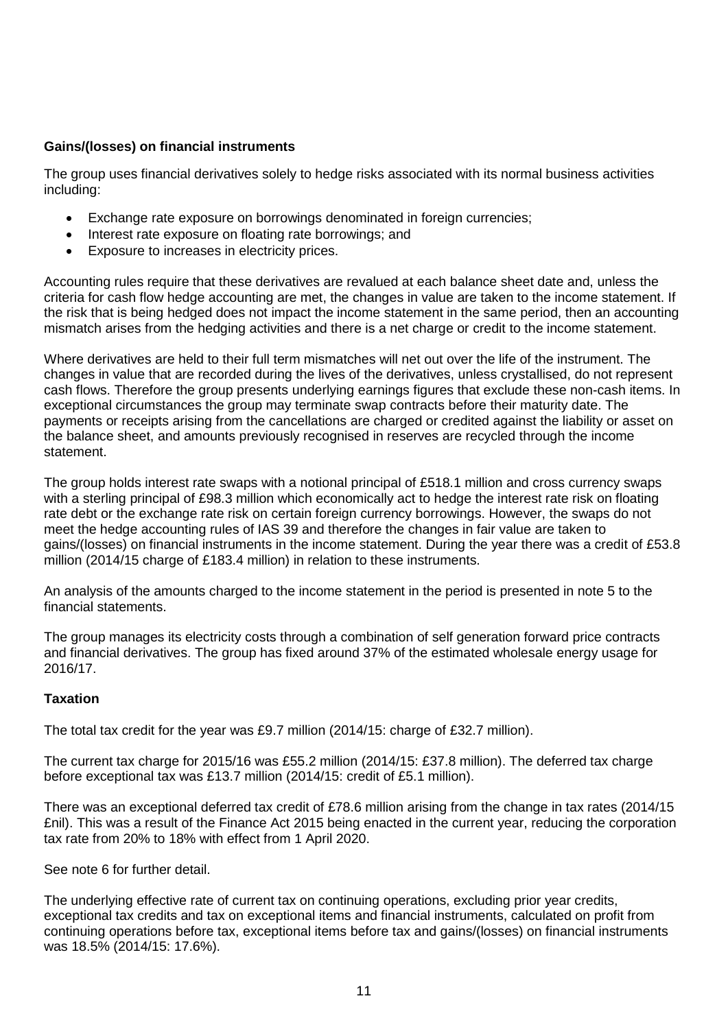# **Gains/(losses) on financial instruments**

The group uses financial derivatives solely to hedge risks associated with its normal business activities including:

- Exchange rate exposure on borrowings denominated in foreign currencies;
- Interest rate exposure on floating rate borrowings; and
- Exposure to increases in electricity prices.

Accounting rules require that these derivatives are revalued at each balance sheet date and, unless the criteria for cash flow hedge accounting are met, the changes in value are taken to the income statement. If the risk that is being hedged does not impact the income statement in the same period, then an accounting mismatch arises from the hedging activities and there is a net charge or credit to the income statement.

Where derivatives are held to their full term mismatches will net out over the life of the instrument. The changes in value that are recorded during the lives of the derivatives, unless crystallised, do not represent cash flows. Therefore the group presents underlying earnings figures that exclude these non-cash items. In exceptional circumstances the group may terminate swap contracts before their maturity date. The payments or receipts arising from the cancellations are charged or credited against the liability or asset on the balance sheet, and amounts previously recognised in reserves are recycled through the income statement.

The group holds interest rate swaps with a notional principal of £518.1 million and cross currency swaps with a sterling principal of £98.3 million which economically act to hedge the interest rate risk on floating rate debt or the exchange rate risk on certain foreign currency borrowings. However, the swaps do not meet the hedge accounting rules of IAS 39 and therefore the changes in fair value are taken to gains/(losses) on financial instruments in the income statement. During the year there was a credit of £53.8 million (2014/15 charge of £183.4 million) in relation to these instruments.

An analysis of the amounts charged to the income statement in the period is presented in note 5 to the financial statements.

The group manages its electricity costs through a combination of self generation forward price contracts and financial derivatives. The group has fixed around 37% of the estimated wholesale energy usage for 2016/17.

# **Taxation**

The total tax credit for the year was £9.7 million (2014/15: charge of £32.7 million).

The current tax charge for 2015/16 was £55.2 million (2014/15: £37.8 million). The deferred tax charge before exceptional tax was £13.7 million (2014/15: credit of £5.1 million).

There was an exceptional deferred tax credit of £78.6 million arising from the change in tax rates (2014/15 £nil). This was a result of the Finance Act 2015 being enacted in the current year, reducing the corporation tax rate from 20% to 18% with effect from 1 April 2020.

See note 6 for further detail.

The underlying effective rate of current tax on continuing operations, excluding prior year credits, exceptional tax credits and tax on exceptional items and financial instruments, calculated on profit from continuing operations before tax, exceptional items before tax and gains/(losses) on financial instruments was 18.5% (2014/15: 17.6%).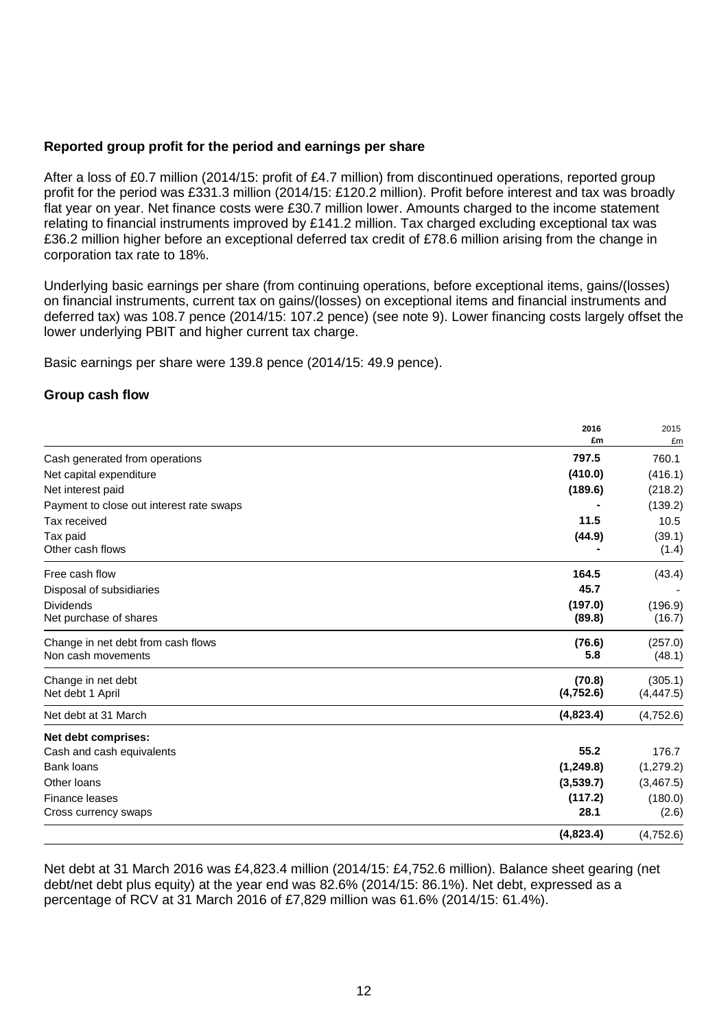# **Reported group profit for the period and earnings per share**

After a loss of £0.7 million (2014/15: profit of £4.7 million) from discontinued operations, reported group profit for the period was £331.3 million (2014/15: £120.2 million). Profit before interest and tax was broadly flat year on year. Net finance costs were £30.7 million lower. Amounts charged to the income statement relating to financial instruments improved by £141.2 million. Tax charged excluding exceptional tax was £36.2 million higher before an exceptional deferred tax credit of £78.6 million arising from the change in corporation tax rate to 18%.

Underlying basic earnings per share (from continuing operations, before exceptional items, gains/(losses) on financial instruments, current tax on gains/(losses) on exceptional items and financial instruments and deferred tax) was 108.7 pence (2014/15: 107.2 pence) (see note 9). Lower financing costs largely offset the lower underlying PBIT and higher current tax charge.

Basic earnings per share were 139.8 pence (2014/15: 49.9 pence).

# **Group cash flow**

|                                          | 2016      | 2015       |
|------------------------------------------|-----------|------------|
|                                          | £m        | £m         |
| Cash generated from operations           | 797.5     | 760.1      |
| Net capital expenditure                  | (410.0)   | (416.1)    |
| Net interest paid                        | (189.6)   | (218.2)    |
| Payment to close out interest rate swaps |           | (139.2)    |
| Tax received                             | 11.5      | 10.5       |
| Tax paid                                 | (44.9)    | (39.1)     |
| Other cash flows                         |           | (1.4)      |
| Free cash flow                           | 164.5     | (43.4)     |
| Disposal of subsidiaries                 | 45.7      |            |
| <b>Dividends</b>                         | (197.0)   | (196.9)    |
| Net purchase of shares                   | (89.8)    | (16.7)     |
| Change in net debt from cash flows       | (76.6)    | (257.0)    |
| Non cash movements                       | 5.8       | (48.1)     |
| Change in net debt                       | (70.8)    | (305.1)    |
| Net debt 1 April                         | (4,752.6) | (4, 447.5) |
| Net debt at 31 March                     | (4,823.4) | (4,752.6)  |
| Net debt comprises:                      |           |            |
| Cash and cash equivalents                | 55.2      | 176.7      |
| Bank loans                               | (1,249.8) | (1, 279.2) |
| Other loans                              | (3,539.7) | (3,467.5)  |
| Finance leases                           | (117.2)   | (180.0)    |
| Cross currency swaps                     | 28.1      | (2.6)      |
|                                          | (4,823.4) | (4,752.6)  |

Net debt at 31 March 2016 was £4,823.4 million (2014/15: £4,752.6 million). Balance sheet gearing (net debt/net debt plus equity) at the year end was 82.6% (2014/15: 86.1%). Net debt, expressed as a percentage of RCV at 31 March 2016 of £7,829 million was 61.6% (2014/15: 61.4%).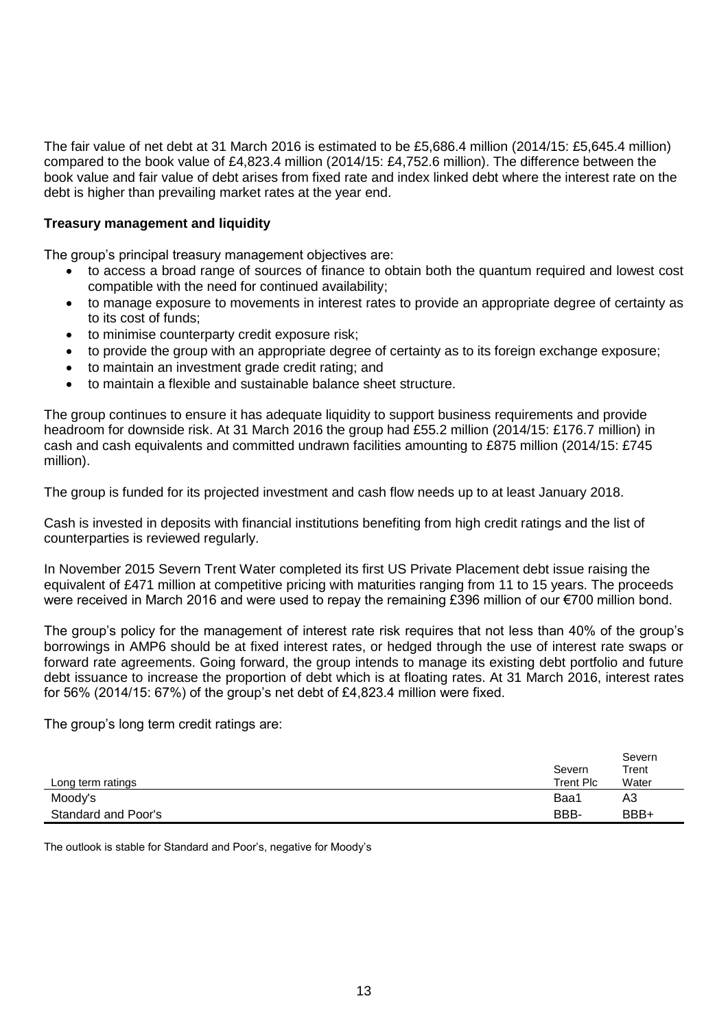The fair value of net debt at 31 March 2016 is estimated to be £5,686.4 million (2014/15: £5,645.4 million) compared to the book value of £4,823.4 million (2014/15: £4,752.6 million). The difference between the book value and fair value of debt arises from fixed rate and index linked debt where the interest rate on the debt is higher than prevailing market rates at the year end.

# **Treasury management and liquidity**

The group's principal treasury management objectives are:

- to access a broad range of sources of finance to obtain both the quantum required and lowest cost compatible with the need for continued availability;
- to manage exposure to movements in interest rates to provide an appropriate degree of certainty as to its cost of funds;
- to minimise counterparty credit exposure risk;
- to provide the group with an appropriate degree of certainty as to its foreign exchange exposure;
- to maintain an investment grade credit rating; and
- to maintain a flexible and sustainable balance sheet structure.

The group continues to ensure it has adequate liquidity to support business requirements and provide headroom for downside risk. At 31 March 2016 the group had £55.2 million (2014/15: £176.7 million) in cash and cash equivalents and committed undrawn facilities amounting to £875 million (2014/15: £745 million).

The group is funded for its projected investment and cash flow needs up to at least January 2018.

Cash is invested in deposits with financial institutions benefiting from high credit ratings and the list of counterparties is reviewed regularly.

In November 2015 Severn Trent Water completed its first US Private Placement debt issue raising the equivalent of £471 million at competitive pricing with maturities ranging from 11 to 15 years. The proceeds were received in March 2016 and were used to repay the remaining £396 million of our €700 million bond.

The group's policy for the management of interest rate risk requires that not less than 40% of the group's borrowings in AMP6 should be at fixed interest rates, or hedged through the use of interest rate swaps or forward rate agreements. Going forward, the group intends to manage its existing debt portfolio and future debt issuance to increase the proportion of debt which is at floating rates. At 31 March 2016, interest rates for 56% (2014/15: 67%) of the group's net debt of £4,823.4 million were fixed.

The group's long term credit ratings are:

|                     | Severn    | Severn<br>Trent |
|---------------------|-----------|-----------------|
| Long term ratings   | Trent Plc | Water           |
| Moody's             | Baa1      | A3              |
| Standard and Poor's | BBB-      | BBB+            |

The outlook is stable for Standard and Poor's, negative for Moody's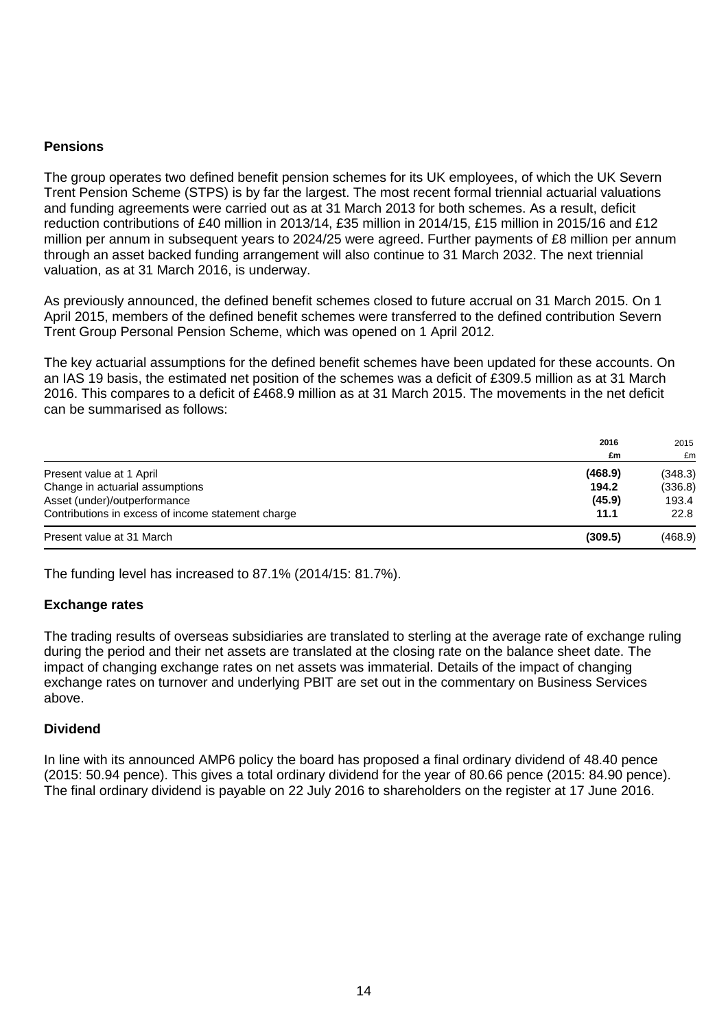# **Pensions**

The group operates two defined benefit pension schemes for its UK employees, of which the UK Severn Trent Pension Scheme (STPS) is by far the largest. The most recent formal triennial actuarial valuations and funding agreements were carried out as at 31 March 2013 for both schemes. As a result, deficit reduction contributions of £40 million in 2013/14, £35 million in 2014/15, £15 million in 2015/16 and £12 million per annum in subsequent years to 2024/25 were agreed. Further payments of £8 million per annum through an asset backed funding arrangement will also continue to 31 March 2032. The next triennial valuation, as at 31 March 2016, is underway.

As previously announced, the defined benefit schemes closed to future accrual on 31 March 2015. On 1 April 2015, members of the defined benefit schemes were transferred to the defined contribution Severn Trent Group Personal Pension Scheme, which was opened on 1 April 2012.

The key actuarial assumptions for the defined benefit schemes have been updated for these accounts. On an IAS 19 basis, the estimated net position of the schemes was a deficit of £309.5 million as at 31 March 2016. This compares to a deficit of £468.9 million as at 31 March 2015. The movements in the net deficit can be summarised as follows:

|                                                    | 2016    | 2015<br>£m |
|----------------------------------------------------|---------|------------|
|                                                    | £m      |            |
| Present value at 1 April                           | (468.9) | (348.3)    |
| Change in actuarial assumptions                    | 194.2   | (336.8)    |
| Asset (under)/outperformance                       | (45.9)  | 193.4      |
| Contributions in excess of income statement charge | 11.1    | 22.8       |
| Present value at 31 March                          | (309.5) | (468.9)    |

The funding level has increased to 87.1% (2014/15: 81.7%).

### **Exchange rates**

The trading results of overseas subsidiaries are translated to sterling at the average rate of exchange ruling during the period and their net assets are translated at the closing rate on the balance sheet date. The impact of changing exchange rates on net assets was immaterial. Details of the impact of changing exchange rates on turnover and underlying PBIT are set out in the commentary on Business Services above.

### **Dividend**

In line with its announced AMP6 policy the board has proposed a final ordinary dividend of 48.40 pence (2015: 50.94 pence). This gives a total ordinary dividend for the year of 80.66 pence (2015: 84.90 pence). The final ordinary dividend is payable on 22 July 2016 to shareholders on the register at 17 June 2016.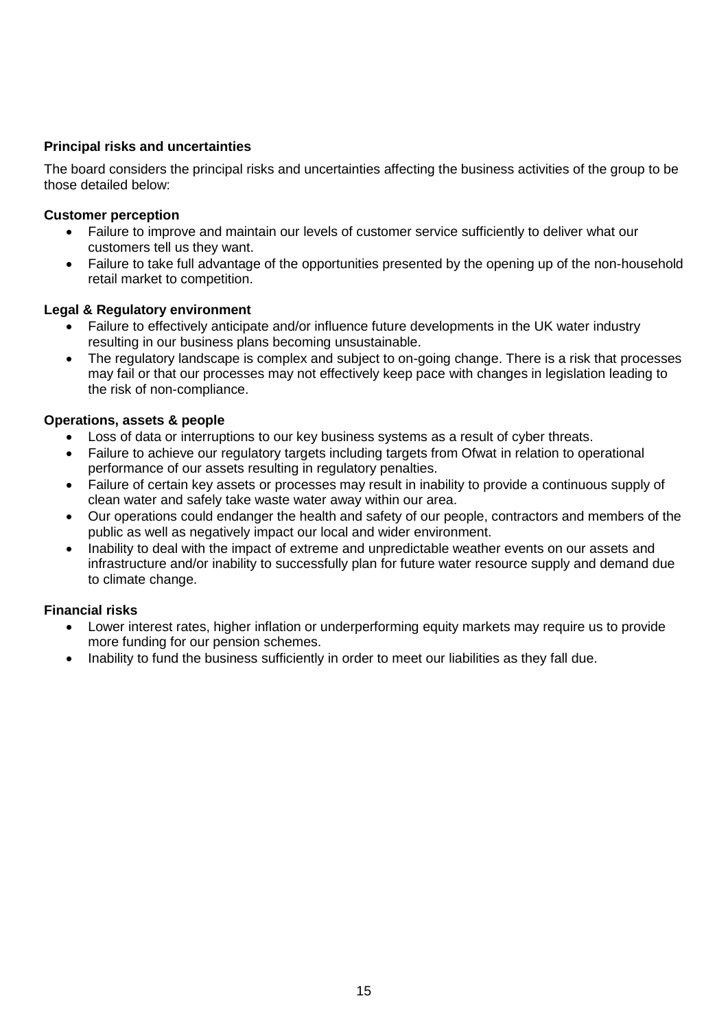# **Principal risks and uncertainties**

The board considers the principal risks and uncertainties affecting the business activities of the group to be those detailed below:

# **Customer perception**

- Failure to improve and maintain our levels of customer service sufficiently to deliver what our customers tell us they want.
- Failure to take full advantage of the opportunities presented by the opening up of the non-household retail market to competition.

# **Legal & Regulatory environment**

- Failure to effectively anticipate and/or influence future developments in the UK water industry resulting in our business plans becoming unsustainable.
- The regulatory landscape is complex and subject to on-going change. There is a risk that processes may fail or that our processes may not effectively keep pace with changes in legislation leading to the risk of non-compliance.

# **Operations, assets & people**

- Loss of data or interruptions to our key business systems as a result of cyber threats.
- Failure to achieve our regulatory targets including targets from Ofwat in relation to operational performance of our assets resulting in regulatory penalties.
- Failure of certain key assets or processes may result in inability to provide a continuous supply of clean water and safely take waste water away within our area.
- Our operations could endanger the health and safety of our people, contractors and members of the public as well as negatively impact our local and wider environment.
- Inability to deal with the impact of extreme and unpredictable weather events on our assets and infrastructure and/or inability to successfully plan for future water resource supply and demand due to climate change.

# **Financial risks**

- Lower interest rates, higher inflation or underperforming equity markets may require us to provide more funding for our pension schemes.
- Inability to fund the business sufficiently in order to meet our liabilities as they fall due.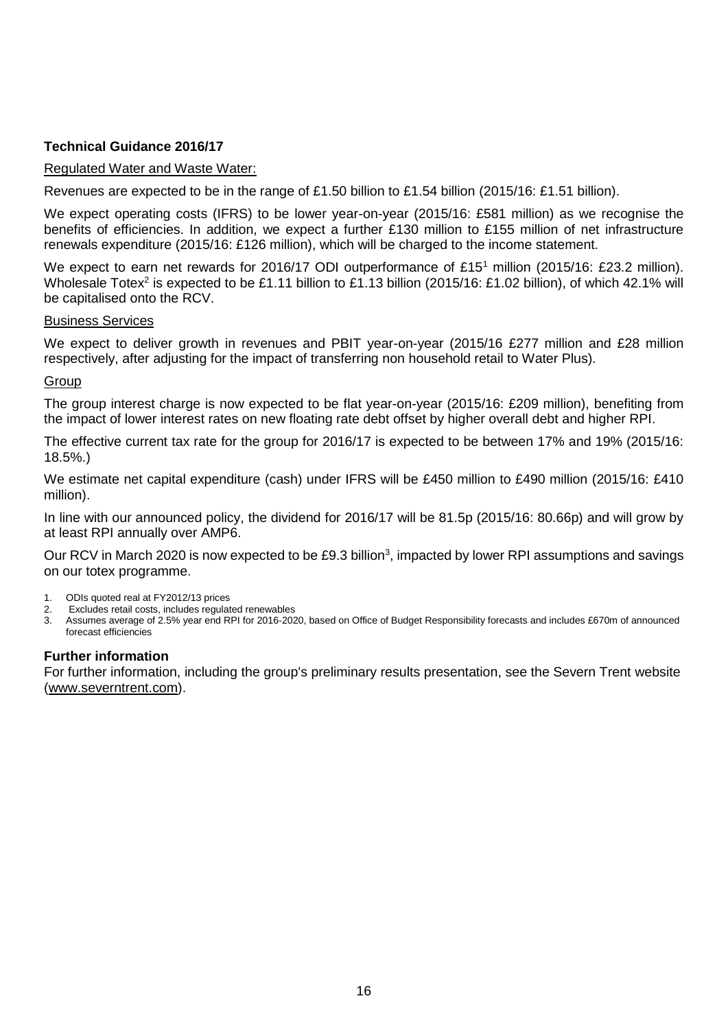# **Technical Guidance 2016/17**

### Regulated Water and Waste Water:

Revenues are expected to be in the range of £1.50 billion to £1.54 billion (2015/16: £1.51 billion).

We expect operating costs (IFRS) to be lower year-on-year (2015/16: £581 million) as we recognise the benefits of efficiencies. In addition, we expect a further £130 million to £155 million of net infrastructure renewals expenditure (2015/16: £126 million), which will be charged to the income statement.

We expect to earn net rewards for 2016/17 ODI outperformance of £15<sup>1</sup> million (2015/16: £23.2 million). Wholesale Totex<sup>2</sup> is expected to be £1.11 billion to £1.13 billion (2015/16: £1.02 billion), of which 42.1% will be capitalised onto the RCV.

# Business Services

We expect to deliver growth in revenues and PBIT year-on-year (2015/16 £277 million and £28 million respectively, after adjusting for the impact of transferring non household retail to Water Plus).

### **Group**

The group interest charge is now expected to be flat year-on-year (2015/16: £209 million), benefiting from the impact of lower interest rates on new floating rate debt offset by higher overall debt and higher RPI.

The effective current tax rate for the group for 2016/17 is expected to be between 17% and 19% (2015/16: 18.5%.)

We estimate net capital expenditure (cash) under IFRS will be £450 million to £490 million (2015/16: £410 million).

In line with our announced policy, the dividend for 2016/17 will be 81.5p (2015/16: 80.66p) and will grow by at least RPI annually over AMP6.

Our RCV in March 2020 is now expected to be £9.3 billion<sup>3</sup>, impacted by lower RPI assumptions and savings on our totex programme.

- 1. ODIs quoted real at FY2012/13 prices
- 2. Excludes retail costs, includes regulated renewables
- 3. Assumes average of 2.5% year end RPI for 2016-2020, based on Office of Budget Responsibility forecasts and includes £670m of announced forecast efficiencies

### **Further information**

For further information, including the group's preliminary results presentation, see the Severn Trent website (www.severntrent.com).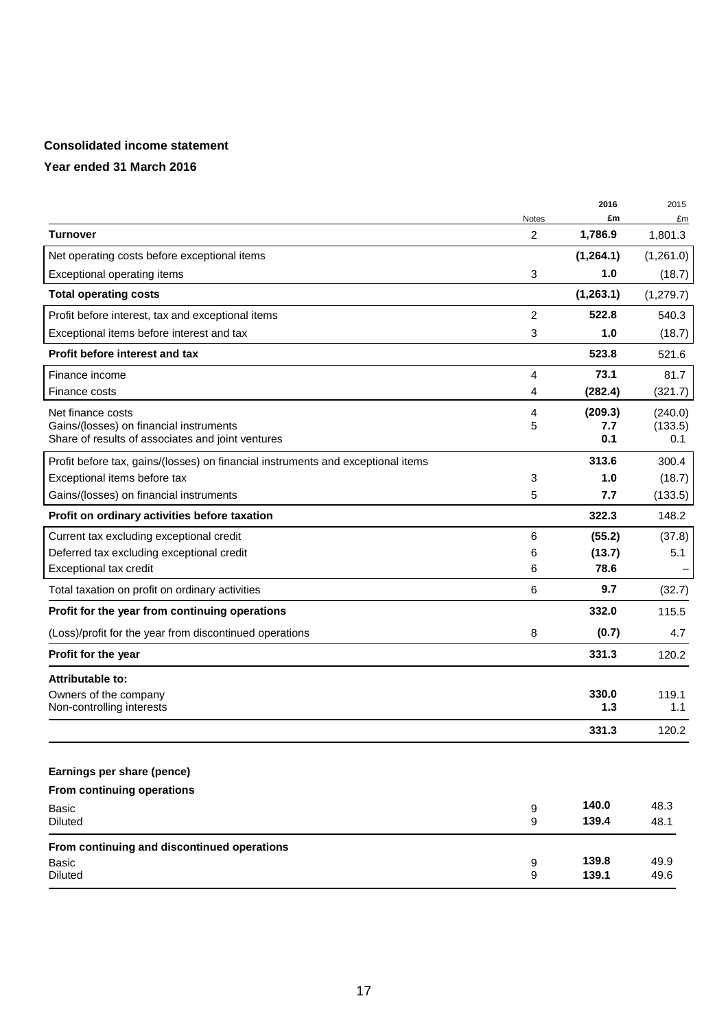# **Consolidated income statement**

## **Year ended 31 March 2016**

|                                                                                  |                | 2016       | 2015       |
|----------------------------------------------------------------------------------|----------------|------------|------------|
|                                                                                  | Notes          | £m         | £m         |
| <b>Turnover</b>                                                                  | $\overline{2}$ | 1,786.9    | 1,801.3    |
| Net operating costs before exceptional items                                     |                | (1, 264.1) | (1,261.0)  |
| Exceptional operating items                                                      | 3              | 1.0        | (18.7)     |
| <b>Total operating costs</b>                                                     |                | (1,263.1)  | (1, 279.7) |
| Profit before interest, tax and exceptional items                                | 2              | 522.8      | 540.3      |
| Exceptional items before interest and tax                                        | 3              | 1.0        | (18.7)     |
| Profit before interest and tax                                                   |                | 523.8      | 521.6      |
| Finance income                                                                   | 4              | 73.1       | 81.7       |
| Finance costs                                                                    | 4              | (282.4)    | (321.7)    |
| Net finance costs                                                                | 4              | (209.3)    | (240.0)    |
| Gains/(losses) on financial instruments                                          | 5              | 7.7        | (133.5)    |
| Share of results of associates and joint ventures                                |                | 0.1        | 0.1        |
| Profit before tax, gains/(losses) on financial instruments and exceptional items |                | 313.6      | 300.4      |
| Exceptional items before tax                                                     | 3              | 1.0        | (18.7)     |
| Gains/(losses) on financial instruments                                          | 5              | 7.7        | (133.5)    |
| Profit on ordinary activities before taxation                                    |                | 322.3      | 148.2      |
| Current tax excluding exceptional credit                                         | 6              | (55.2)     | (37.8)     |
| Deferred tax excluding exceptional credit                                        | 6              | (13.7)     | 5.1        |
| Exceptional tax credit                                                           | 6              | 78.6       |            |
| Total taxation on profit on ordinary activities                                  | 6              | 9.7        | (32.7)     |
| Profit for the year from continuing operations                                   |                | 332.0      | 115.5      |
| (Loss)/profit for the year from discontinued operations                          | 8              | (0.7)      | 4.7        |
| Profit for the year                                                              |                | 331.3      | 120.2      |
| <b>Attributable to:</b>                                                          |                |            |            |
| Owners of the company                                                            |                | 330.0      | 119.1      |
| Non-controlling interests                                                        |                | 1.3        | 1.1        |
|                                                                                  |                | 331.3      | 120.2      |
|                                                                                  |                |            |            |
| Earnings per share (pence)                                                       |                |            |            |
| From continuing operations                                                       |                |            |            |
| Basic                                                                            | 9              | 140.0      | 48.3       |
| Diluted                                                                          | 9              | 139.4      | 48.1       |
| From continuing and discontinued operations                                      |                |            |            |
| Basic                                                                            | 9              | 139.8      | 49.9       |
| Diluted                                                                          | 9              | 139.1      | 49.6       |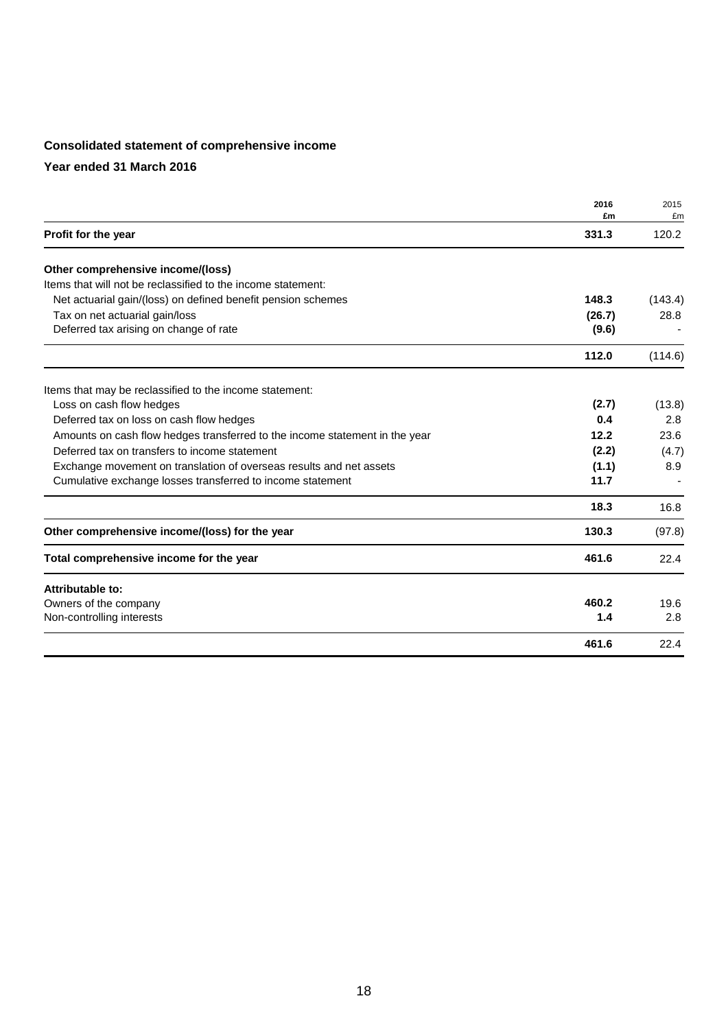# **Consolidated statement of comprehensive income**

**Year ended 31 March 2016**

|                                                                             | 2016   | 2015    |
|-----------------------------------------------------------------------------|--------|---------|
|                                                                             | £m     | £m      |
| Profit for the year                                                         | 331.3  | 120.2   |
| Other comprehensive income/(loss)                                           |        |         |
| Items that will not be reclassified to the income statement:                |        |         |
| Net actuarial gain/(loss) on defined benefit pension schemes                | 148.3  | (143.4) |
| Tax on net actuarial gain/loss                                              | (26.7) | 28.8    |
| Deferred tax arising on change of rate                                      | (9.6)  |         |
|                                                                             | 112.0  | (114.6) |
| Items that may be reclassified to the income statement:                     |        |         |
| Loss on cash flow hedges                                                    | (2.7)  | (13.8)  |
| Deferred tax on loss on cash flow hedges                                    | 0.4    | 2.8     |
| Amounts on cash flow hedges transferred to the income statement in the year | 12.2   | 23.6    |
| Deferred tax on transfers to income statement                               | (2.2)  | (4.7)   |
| Exchange movement on translation of overseas results and net assets         | (1.1)  | 8.9     |
| Cumulative exchange losses transferred to income statement                  | 11.7   |         |
|                                                                             | 18.3   | 16.8    |
| Other comprehensive income/(loss) for the year                              | 130.3  | (97.8)  |
| Total comprehensive income for the year                                     | 461.6  | 22.4    |
| Attributable to:                                                            |        |         |
| Owners of the company                                                       | 460.2  | 19.6    |
| Non-controlling interests                                                   | 1.4    | 2.8     |
|                                                                             | 461.6  | 22.4    |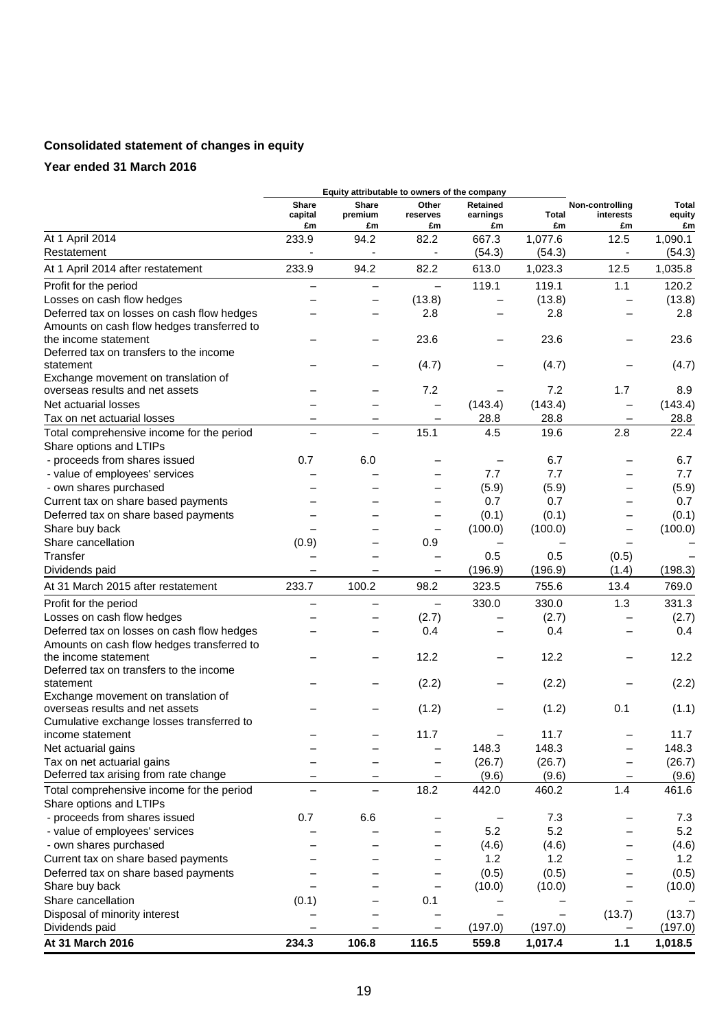# **Consolidated statement of changes in equity**

## **Year ended 31 March 2016**

|                                                                      |                        |                          | Equity attributable to owners of the company |                                   |                    |                                    |                       |
|----------------------------------------------------------------------|------------------------|--------------------------|----------------------------------------------|-----------------------------------|--------------------|------------------------------------|-----------------------|
|                                                                      | Share<br>capital<br>£m | Share<br>premium<br>£m   | Other<br>reserves<br>£m                      | <b>Retained</b><br>earnings<br>£m | <b>Total</b><br>£m | Non-controlling<br>interests<br>£m | Total<br>equity<br>£m |
| At 1 April 2014                                                      | 233.9                  | 94.2                     | 82.2                                         | 667.3                             | 1,077.6            | 12.5                               | 1,090.1               |
| Restatement                                                          |                        |                          |                                              | (54.3)                            | (54.3)             |                                    | (54.3)                |
| At 1 April 2014 after restatement                                    | 233.9                  | 94.2                     | 82.2                                         | 613.0                             | 1,023.3            | 12.5                               | 1,035.8               |
| Profit for the period                                                | ╾                      |                          | $\qquad \qquad -$                            | 119.1                             | 119.1              | 1.1                                | 120.2                 |
| Losses on cash flow hedges                                           |                        | -                        | (13.8)                                       |                                   | (13.8)             | $\overline{\phantom{0}}$           | (13.8)                |
| Deferred tax on losses on cash flow hedges                           |                        |                          | 2.8                                          |                                   | 2.8                |                                    | 2.8                   |
| Amounts on cash flow hedges transferred to                           |                        |                          |                                              |                                   |                    |                                    |                       |
| the income statement                                                 |                        |                          | 23.6                                         |                                   | 23.6               |                                    | 23.6                  |
| Deferred tax on transfers to the income                              |                        |                          |                                              |                                   |                    |                                    |                       |
| statement                                                            |                        |                          | (4.7)                                        |                                   | (4.7)              |                                    | (4.7)                 |
| Exchange movement on translation of                                  |                        |                          |                                              |                                   |                    |                                    |                       |
| overseas results and net assets                                      |                        |                          | 7.2                                          |                                   | 7.2                | 1.7                                | 8.9                   |
| Net actuarial losses                                                 |                        |                          | $\overline{\phantom{0}}$                     | (143.4)                           | (143.4)            | $\overline{\phantom{0}}$           | (143.4)               |
| Tax on net actuarial losses                                          |                        | —                        | —                                            | 28.8                              | 28.8               | $\qquad \qquad$                    | 28.8                  |
| Total comprehensive income for the period<br>Share options and LTIPs | —                      | $\overline{\phantom{0}}$ | 15.1                                         | 4.5                               | 19.6               | 2.8                                | 22.4                  |
| - proceeds from shares issued                                        | 0.7                    | 6.0                      |                                              |                                   | 6.7                |                                    | 6.7                   |
| - value of employees' services                                       |                        |                          |                                              | 7.7                               | 7.7                |                                    | 7.7                   |
| - own shares purchased                                               |                        |                          |                                              | (5.9)                             | (5.9)              | -                                  | (5.9)                 |
| Current tax on share based payments                                  |                        |                          | -                                            | 0.7                               | 0.7                |                                    | 0.7                   |
| Deferred tax on share based payments                                 |                        |                          |                                              | (0.1)                             | (0.1)              |                                    | (0.1)                 |
| Share buy back                                                       |                        |                          | -                                            | (100.0)                           | (100.0)            | -                                  | (100.0)               |
| Share cancellation                                                   | (0.9)                  |                          | 0.9                                          |                                   |                    | $\qquad \qquad$                    |                       |
| Transfer                                                             |                        |                          | $\qquad \qquad -$                            | 0.5                               | 0.5                | (0.5)                              |                       |
| Dividends paid                                                       |                        |                          | -                                            | (196.9)                           | (196.9)            | (1.4)                              | (198.3)               |
| At 31 March 2015 after restatement                                   | 233.7                  | 100.2                    | 98.2                                         | 323.5                             | 755.6              | 13.4                               | 769.0                 |
| Profit for the period                                                |                        |                          | $\overline{\phantom{0}}$                     | 330.0                             | 330.0              | 1.3                                | 331.3                 |
| Losses on cash flow hedges                                           |                        |                          | (2.7)                                        |                                   | (2.7)              |                                    | (2.7)                 |
| Deferred tax on losses on cash flow hedges                           |                        |                          | 0.4                                          |                                   | 0.4                |                                    | 0.4                   |
| Amounts on cash flow hedges transferred to                           |                        |                          |                                              |                                   |                    |                                    |                       |
| the income statement                                                 |                        |                          | 12.2                                         |                                   | 12.2               |                                    | 12.2                  |
| Deferred tax on transfers to the income                              |                        |                          |                                              |                                   |                    |                                    |                       |
| statement<br>Exchange movement on translation of                     |                        |                          | (2.2)                                        |                                   | (2.2)              |                                    | (2.2)                 |
| overseas results and net assets                                      |                        |                          | (1.2)                                        |                                   | (1.2)              | 0.1                                | (1.1)                 |
| Cumulative exchange losses transferred to                            |                        |                          |                                              |                                   |                    |                                    |                       |
| income statement                                                     |                        |                          | 11.7                                         |                                   | 11.7               |                                    | 11.7                  |
| Net actuarial gains                                                  |                        |                          | —                                            | 148.3                             | 148.3              | -                                  | 148.3                 |
| Tax on net actuarial gains                                           |                        |                          | —                                            | (26.7)                            | (26.7)             | —                                  | (26.7)                |
| Deferred tax arising from rate change                                |                        |                          | -                                            | (9.6)                             | (9.6)              | -                                  | (9.6)                 |
| Total comprehensive income for the period                            |                        |                          | 18.2                                         | 442.0                             | 460.2              | 1.4                                | 461.6                 |
| Share options and LTIPs                                              |                        |                          |                                              |                                   |                    |                                    |                       |
| - proceeds from shares issued                                        | 0.7                    | 6.6                      |                                              |                                   | 7.3                |                                    | 7.3                   |
| - value of employees' services                                       |                        |                          |                                              | 5.2                               | 5.2                |                                    | 5.2                   |
| - own shares purchased                                               |                        |                          | —                                            | (4.6)                             | (4.6)              | -                                  | (4.6)                 |
| Current tax on share based payments                                  |                        |                          |                                              | 1.2                               | 1.2                |                                    | 1.2                   |
| Deferred tax on share based payments                                 |                        |                          |                                              | (0.5)                             | (0.5)              | $\overline{\phantom{0}}$           | (0.5)                 |
| Share buy back                                                       |                        |                          | $\qquad \qquad -$                            | (10.0)                            | (10.0)             | -                                  | (10.0)                |
| Share cancellation                                                   | (0.1)                  |                          | 0.1                                          |                                   |                    |                                    |                       |
| Disposal of minority interest                                        |                        |                          |                                              |                                   |                    | (13.7)                             | (13.7)                |
| Dividends paid                                                       |                        |                          |                                              | (197.0)                           | (197.0)            |                                    | (197.0)               |
| At 31 March 2016                                                     | 234.3                  | 106.8                    | 116.5                                        | 559.8                             | 1,017.4            | 1.1                                | 1,018.5               |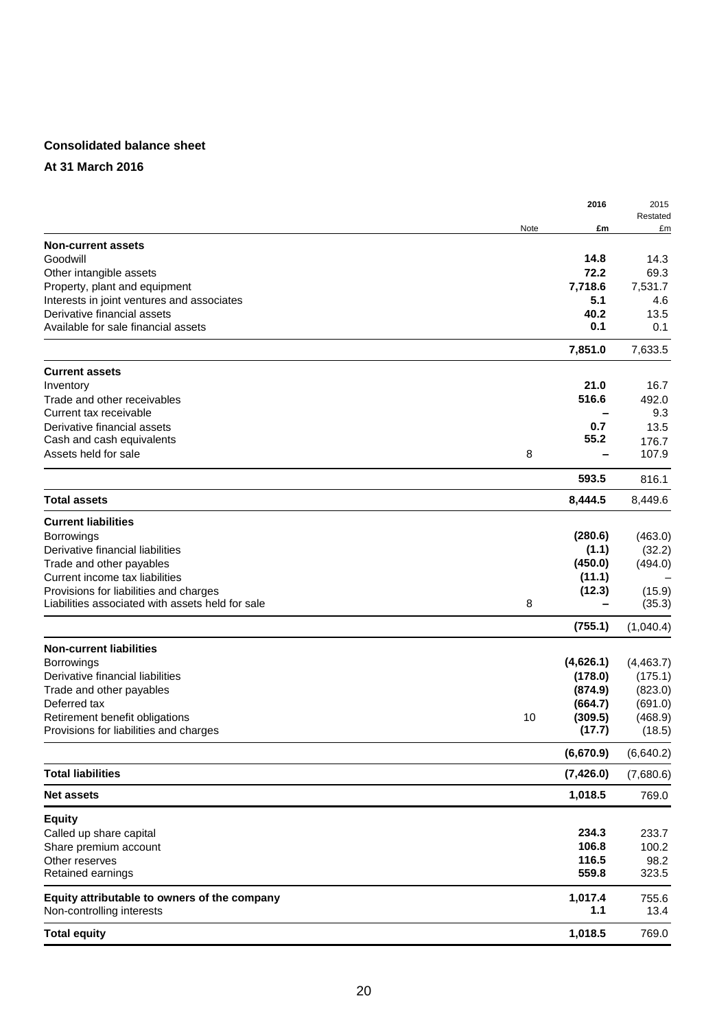# **Consolidated balance sheet**

### **At 31 March 2016**

|                                                  |               | 2016<br>2015         |
|--------------------------------------------------|---------------|----------------------|
|                                                  | Note          | Restated<br>£m<br>£m |
| <b>Non-current assets</b>                        |               |                      |
| Goodwill                                         | 14.8          | 14.3                 |
| Other intangible assets                          | 72.2          | 69.3                 |
| Property, plant and equipment                    | 7,718.6       | 7,531.7              |
| Interests in joint ventures and associates       |               | 5.1<br>4.6           |
| Derivative financial assets                      | 40.2          | 13.5                 |
| Available for sale financial assets              |               | 0.1<br>0.1           |
|                                                  | 7,851.0       | 7,633.5              |
| <b>Current assets</b>                            |               |                      |
| Inventory                                        |               | 21.0<br>16.7         |
| Trade and other receivables                      | 516.6         | 492.0                |
| Current tax receivable                           |               | 9.3                  |
| Derivative financial assets                      |               | 13.5<br>0.7          |
| Cash and cash equivalents                        | 55.2          | 176.7                |
| Assets held for sale                             | 8             | 107.9                |
|                                                  | 593.5         | 816.1                |
| <b>Total assets</b>                              | 8,444.5       | 8,449.6              |
| <b>Current liabilities</b>                       |               |                      |
| <b>Borrowings</b>                                | (280.6)       | (463.0)              |
| Derivative financial liabilities                 |               | (1.1)<br>(32.2)      |
| Trade and other payables                         | (450.0)       | (494.0)              |
| Current income tax liabilities                   | (11.1)        |                      |
| Provisions for liabilities and charges           | (12.3)        | (15.9)               |
| Liabilities associated with assets held for sale | 8             | (35.3)               |
|                                                  | (755.1)       | (1,040.4)            |
| <b>Non-current liabilities</b>                   |               |                      |
| Borrowings                                       | (4,626.1)     | (4,463.7)            |
| Derivative financial liabilities                 | (178.0)       | (175.1)              |
| Trade and other payables                         | (874.9)       | (823.0)              |
| Deferred tax                                     | (664.7)       | (691.0)              |
| Retirement benefit obligations                   | (309.5)<br>10 | (468.9)              |
| Provisions for liabilities and charges           | (17.7)        | (18.5)               |
|                                                  | (6,670.9)     | (6,640.2)            |
| <b>Total liabilities</b>                         | (7, 426.0)    | (7,680.6)            |
| <b>Net assets</b>                                | 1,018.5       | 769.0                |
| <b>Equity</b>                                    |               |                      |
| Called up share capital                          | 234.3         | 233.7                |
| Share premium account                            | 106.8         | 100.2                |
| Other reserves                                   | 116.5         | 98.2                 |
| Retained earnings                                | 559.8         | 323.5                |
| Equity attributable to owners of the company     | 1,017.4       | 755.6                |
| Non-controlling interests                        |               | 1.1<br>13.4          |
| <b>Total equity</b>                              | 1,018.5       | 769.0                |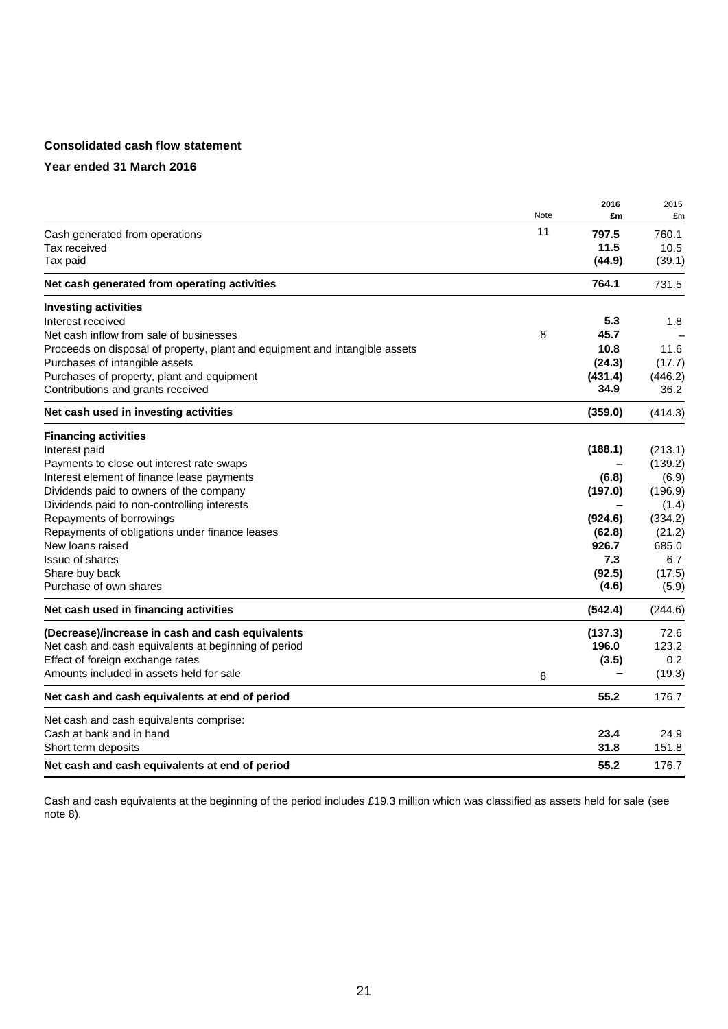# **Consolidated cash flow statement**

### **Year ended 31 March 2016**

|                                                                             | Note | 2016<br>£m | 2015<br>£m |
|-----------------------------------------------------------------------------|------|------------|------------|
| Cash generated from operations                                              | 11   | 797.5      | 760.1      |
| Tax received                                                                |      | 11.5       | 10.5       |
| Tax paid                                                                    |      | (44.9)     | (39.1)     |
| Net cash generated from operating activities                                |      | 764.1      | 731.5      |
| <b>Investing activities</b>                                                 |      |            |            |
| Interest received                                                           |      | 5.3        | 1.8        |
| Net cash inflow from sale of businesses                                     | 8    | 45.7       |            |
| Proceeds on disposal of property, plant and equipment and intangible assets |      | 10.8       | 11.6       |
| Purchases of intangible assets                                              |      | (24.3)     | (17.7)     |
| Purchases of property, plant and equipment                                  |      | (431.4)    | (446.2)    |
| Contributions and grants received                                           |      | 34.9       | 36.2       |
| Net cash used in investing activities                                       |      | (359.0)    | (414.3)    |
| <b>Financing activities</b>                                                 |      |            |            |
| Interest paid                                                               |      | (188.1)    | (213.1)    |
| Payments to close out interest rate swaps                                   |      |            | (139.2)    |
| Interest element of finance lease payments                                  |      | (6.8)      | (6.9)      |
| Dividends paid to owners of the company                                     |      | (197.0)    | (196.9)    |
| Dividends paid to non-controlling interests                                 |      |            | (1.4)      |
| Repayments of borrowings                                                    |      | (924.6)    | (334.2)    |
| Repayments of obligations under finance leases                              |      | (62.8)     | (21.2)     |
| New loans raised                                                            |      | 926.7      | 685.0      |
| <b>Issue of shares</b>                                                      |      | 7.3        | 6.7        |
| Share buy back                                                              |      | (92.5)     | (17.5)     |
| Purchase of own shares                                                      |      | (4.6)      | (5.9)      |
| Net cash used in financing activities                                       |      | (542.4)    | (244.6)    |
| (Decrease)/increase in cash and cash equivalents                            |      | (137.3)    | 72.6       |
| Net cash and cash equivalents at beginning of period                        |      | 196.0      | 123.2      |
| Effect of foreign exchange rates                                            |      | (3.5)      | 0.2        |
| Amounts included in assets held for sale                                    | 8    |            | (19.3)     |
| Net cash and cash equivalents at end of period                              |      | 55.2       | 176.7      |
| Net cash and cash equivalents comprise:                                     |      |            |            |
| Cash at bank and in hand                                                    |      | 23.4       | 24.9       |
| Short term deposits                                                         |      | 31.8       | 151.8      |
| Net cash and cash equivalents at end of period                              |      | 55.2       | 176.7      |

Cash and cash equivalents at the beginning of the period includes £19.3 million which was classified as assets held for sale (see note 8).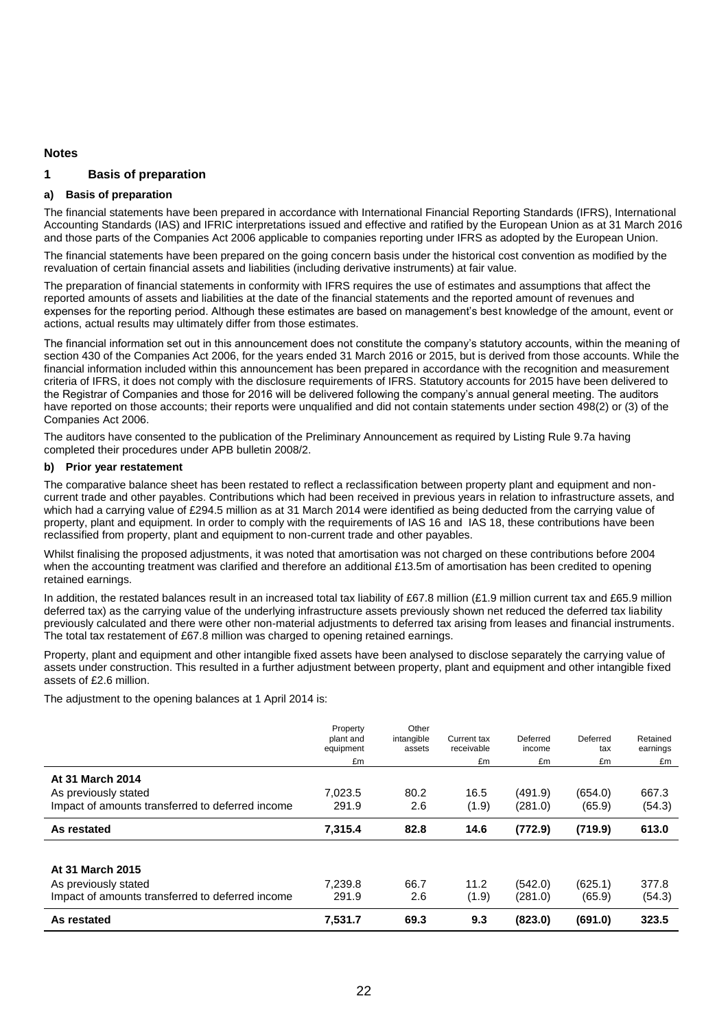#### **Notes**

#### **1 Basis of preparation**

#### **a) Basis of preparation**

The financial statements have been prepared in accordance with International Financial Reporting Standards (IFRS), International Accounting Standards (IAS) and IFRIC interpretations issued and effective and ratified by the European Union as at 31 March 2016 and those parts of the Companies Act 2006 applicable to companies reporting under IFRS as adopted by the European Union.

The financial statements have been prepared on the going concern basis under the historical cost convention as modified by the revaluation of certain financial assets and liabilities (including derivative instruments) at fair value.

The preparation of financial statements in conformity with IFRS requires the use of estimates and assumptions that affect the reported amounts of assets and liabilities at the date of the financial statements and the reported amount of revenues and expenses for the reporting period. Although these estimates are based on management's best knowledge of the amount, event or actions, actual results may ultimately differ from those estimates.

The financial information set out in this announcement does not constitute the company's statutory accounts, within the meaning of section 430 of the Companies Act 2006, for the years ended 31 March 2016 or 2015, but is derived from those accounts. While the financial information included within this announcement has been prepared in accordance with the recognition and measurement criteria of IFRS, it does not comply with the disclosure requirements of IFRS. Statutory accounts for 2015 have been delivered to the Registrar of Companies and those for 2016 will be delivered following the company's annual general meeting. The auditors have reported on those accounts; their reports were unqualified and did not contain statements under section 498(2) or (3) of the Companies Act 2006.

The auditors have consented to the publication of the Preliminary Announcement as required by Listing Rule 9.7a having completed their procedures under APB bulletin 2008/2.

#### **b) Prior year restatement**

The comparative balance sheet has been restated to reflect a reclassification between property plant and equipment and noncurrent trade and other payables. Contributions which had been received in previous years in relation to infrastructure assets, and which had a carrying value of £294.5 million as at 31 March 2014 were identified as being deducted from the carrying value of property, plant and equipment. In order to comply with the requirements of IAS 16 and IAS 18, these contributions have been reclassified from property, plant and equipment to non-current trade and other payables.

Whilst finalising the proposed adjustments, it was noted that amortisation was not charged on these contributions before 2004 when the accounting treatment was clarified and therefore an additional £13.5m of amortisation has been credited to opening retained earnings.

In addition, the restated balances result in an increased total tax liability of £67.8 million (£1.9 million current tax and £65.9 million deferred tax) as the carrying value of the underlying infrastructure assets previously shown net reduced the deferred tax liability previously calculated and there were other non-material adjustments to deferred tax arising from leases and financial instruments. The total tax restatement of £67.8 million was charged to opening retained earnings.

Property, plant and equipment and other intangible fixed assets have been analysed to disclose separately the carrying value of assets under construction. This resulted in a further adjustment between property, plant and equipment and other intangible fixed assets of £2.6 million.

The adjustment to the opening balances at 1 April 2014 is:

|                                                  | Property<br>plant and<br>equipment<br>£m | Other<br>intangible<br>assets | Current tax<br>receivable<br>£m | Deferred<br>income<br>£m | Deferred<br>tax<br>£m | Retained<br>earnings<br>£m |
|--------------------------------------------------|------------------------------------------|-------------------------------|---------------------------------|--------------------------|-----------------------|----------------------------|
| At 31 March 2014                                 |                                          |                               |                                 |                          |                       |                            |
| As previously stated                             | 7.023.5                                  | 80.2                          | 16.5                            | (491.9)                  | (654.0)               | 667.3                      |
| Impact of amounts transferred to deferred income | 291.9                                    | 2.6                           | (1.9)                           | (281.0)                  | (65.9)                | (54.3)                     |
| As restated                                      | 7,315.4                                  | 82.8                          | 14.6                            | (772.9)                  | (719.9)               | 613.0                      |
|                                                  |                                          |                               |                                 |                          |                       |                            |
| At 31 March 2015                                 |                                          |                               |                                 |                          |                       |                            |
| As previously stated                             | 7.239.8                                  | 66.7                          | 11.2                            | (542.0)                  | (625.1)               | 377.8                      |
| Impact of amounts transferred to deferred income | 291.9                                    | 2.6                           | (1.9)                           | (281.0)                  | (65.9)                | (54.3)                     |
| As restated                                      | 7,531.7                                  | 69.3                          | 9.3                             | (823.0)                  | (691.0)               | 323.5                      |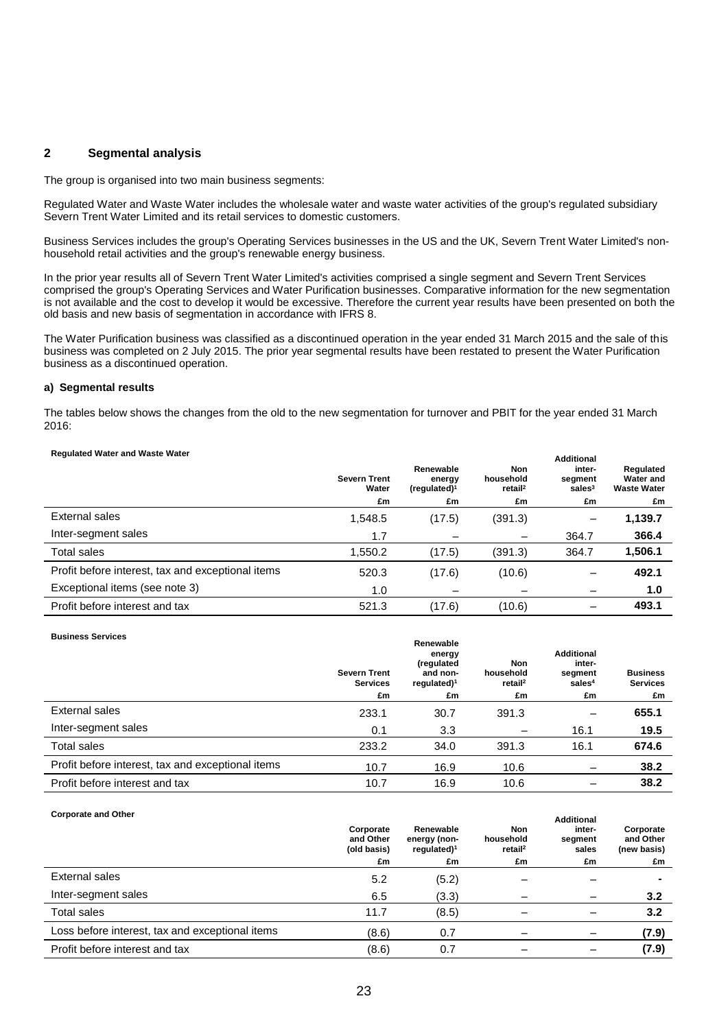### **2 Segmental analysis**

The group is organised into two main business segments:

Regulated Water and Waste Water includes the wholesale water and waste water activities of the group's regulated subsidiary Severn Trent Water Limited and its retail services to domestic customers.

Business Services includes the group's Operating Services businesses in the US and the UK, Severn Trent Water Limited's nonhousehold retail activities and the group's renewable energy business.

In the prior year results all of Severn Trent Water Limited's activities comprised a single segment and Severn Trent Services comprised the group's Operating Services and Water Purification businesses. Comparative information for the new segmentation is not available and the cost to develop it would be excessive. Therefore the current year results have been presented on both the old basis and new basis of segmentation in accordance with IFRS 8.

The Water Purification business was classified as a discontinued operation in the year ended 31 March 2015 and the sale of this business was completed on 2 July 2015. The prior year segmental results have been restated to present the Water Purification business as a discontinued operation.

#### **a) Segmental results**

The tables below shows the changes from the old to the new segmentation for turnover and PBIT for the year ended 31 March 2016:

| <b>Regulated Water and Waste Water</b>            | <b>Severn Trent</b><br>Water<br>£m | Renewable<br>energy<br>(requlated) <sup>1</sup><br>£m | Non<br>household<br>retail <sup>2</sup><br>£m | <b>Additional</b><br>inter-<br>segment<br>sales $3$<br>£m | Regulated<br>Water and<br><b>Waste Water</b><br>£m |
|---------------------------------------------------|------------------------------------|-------------------------------------------------------|-----------------------------------------------|-----------------------------------------------------------|----------------------------------------------------|
| External sales                                    | 1,548.5                            | (17.5)                                                | (391.3)                                       | —                                                         | 1,139.7                                            |
| Inter-segment sales                               | 1.7                                |                                                       |                                               | 364.7                                                     | 366.4                                              |
| Total sales                                       | 1,550.2                            | (17.5)                                                | (391.3)                                       | 364.7                                                     | 1,506.1                                            |
| Profit before interest, tax and exceptional items | 520.3                              | (17.6)                                                | (10.6)                                        |                                                           | 492.1                                              |
| Exceptional items (see note 3)                    | 1.0                                |                                                       |                                               |                                                           | 1.0                                                |
| Profit before interest and tax                    | 521.3                              | (17.6)                                                | (10.6)                                        |                                                           | 493.1                                              |

#### **Business Services**

|                                                   | <b>Severn Trent</b><br><b>Services</b><br>£m | Renewable<br>energy<br>(regulated<br>and non-<br>regulated) $1$<br>£m | Non<br>household<br>retail <sup>2</sup><br>£m | <b>Additional</b><br>inter-<br>segment<br>sales <sup>4</sup><br>£m | <b>Business</b><br><b>Services</b><br>£m |
|---------------------------------------------------|----------------------------------------------|-----------------------------------------------------------------------|-----------------------------------------------|--------------------------------------------------------------------|------------------------------------------|
|                                                   |                                              |                                                                       |                                               |                                                                    |                                          |
| External sales                                    | 233.1                                        | 30.7                                                                  | 391.3                                         |                                                                    | 655.1                                    |
| Inter-segment sales                               | 0.1                                          | 3.3                                                                   | $\overline{\phantom{0}}$                      | 16.1                                                               | 19.5                                     |
| <b>Total sales</b>                                | 233.2                                        | 34.0                                                                  | 391.3                                         | 16.1                                                               | 674.6                                    |
| Profit before interest, tax and exceptional items | 10.7                                         | 16.9                                                                  | 10.6                                          |                                                                    | 38.2                                     |
| Profit before interest and tax                    | 10.7                                         | 16.9                                                                  | 10.6                                          |                                                                    | 38.2                                     |

#### **Corporate and Other**

|                                                 | Corporate<br>and Other<br>(old basis) | Renewable<br>energy (non-<br>regulated) $1$ | Non<br>household<br>retail <sup>2</sup> | Auunvilal<br>inter-<br>segment<br>sales | Corporate<br>and Other<br>(new basis) |
|-------------------------------------------------|---------------------------------------|---------------------------------------------|-----------------------------------------|-----------------------------------------|---------------------------------------|
|                                                 | £m                                    | £m                                          | £m                                      | £m                                      | £m                                    |
| External sales                                  | 5.2                                   | (5.2)                                       |                                         |                                         | $\blacksquare$                        |
| Inter-segment sales                             | 6.5                                   | (3.3)                                       |                                         |                                         | 3.2                                   |
| <b>Total sales</b>                              | 11.7                                  | (8.5)                                       |                                         |                                         | 3.2                                   |
| Loss before interest, tax and exceptional items | (8.6)                                 | 0.7                                         |                                         |                                         | (7.9)                                 |
| Profit before interest and tax                  | (8.6)                                 | 0.7                                         |                                         |                                         | (7.9)                                 |

**Additional**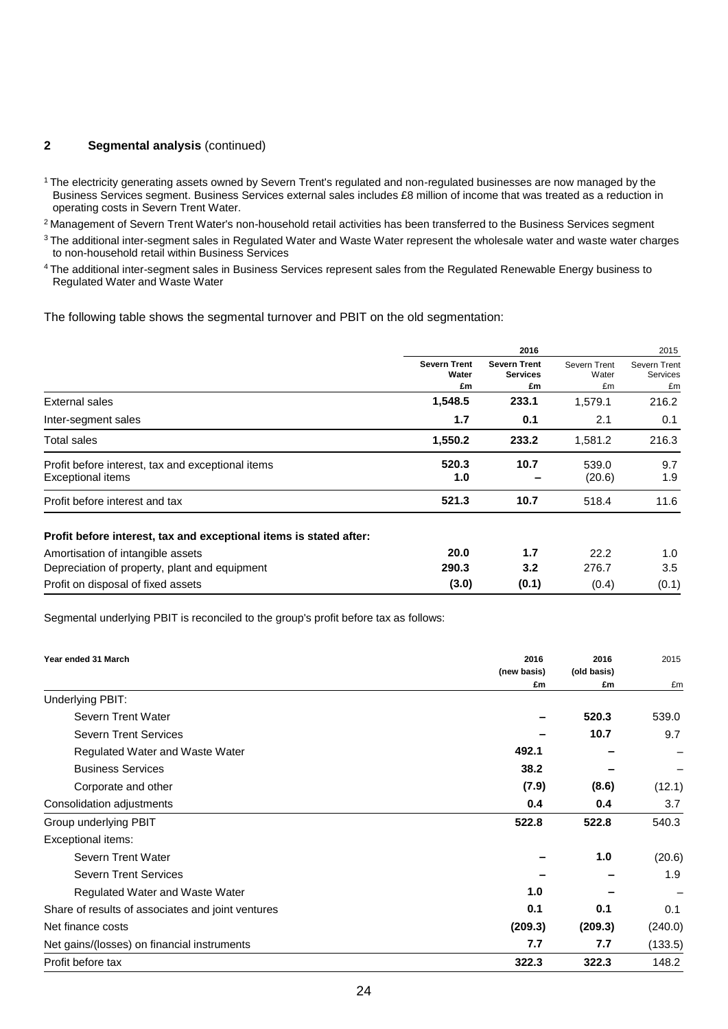### **2 Segmental analysis** (continued)

<sup>1</sup>The electricity generating assets owned by Severn Trent's regulated and non-regulated businesses are now managed by the Business Services segment. Business Services external sales includes £8 million of income that was treated as a reduction in operating costs in Severn Trent Water.

<sup>2</sup> Management of Severn Trent Water's non-household retail activities has been transferred to the Business Services segment

 $3$ The additional inter-segment sales in Regulated Water and Waste Water represent the wholesale water and waste water charges to non-household retail within Business Services

<sup>4</sup>The additional inter-segment sales in Business Services represent sales from the Regulated Renewable Energy business to Regulated Water and Waste Water

The following table shows the segmental turnover and PBIT on the old segmentation:

|                                                                        |                              | 2016                                   |                       | 2015                     |
|------------------------------------------------------------------------|------------------------------|----------------------------------------|-----------------------|--------------------------|
|                                                                        | <b>Severn Trent</b><br>Water | <b>Severn Trent</b><br><b>Services</b> | Severn Trent<br>Water | Severn Trent<br>Services |
|                                                                        | £m                           | £m                                     | £m                    | £m                       |
| External sales                                                         | 1,548.5                      | 233.1                                  | 1,579.1               | 216.2                    |
| Inter-segment sales                                                    | 1.7                          | 0.1                                    | 2.1                   | 0.1                      |
| Total sales                                                            | 1,550.2                      | 233.2                                  | 1,581.2               | 216.3                    |
| Profit before interest, tax and exceptional items<br>Exceptional items | 520.3<br>1.0                 | 10.7                                   | 539.0<br>(20.6)       | 9.7<br>1.9               |
| Profit before interest and tax                                         | 521.3                        | 10.7                                   | 518.4                 | 11.6                     |
| Profit before interest, tax and exceptional items is stated after:     |                              |                                        |                       |                          |
| Amortisation of intangible assets                                      | 20.0                         | 1.7                                    | 22.2                  | 1.0                      |
| Depreciation of property, plant and equipment                          | 290.3                        | 3.2                                    | 276.7                 | 3.5                      |
| Profit on disposal of fixed assets                                     | (3.0)                        | (0.1)                                  | (0.4)                 | (0.1)                    |

Segmental underlying PBIT is reconciled to the group's profit before tax as follows:

| Year ended 31 March                               | 2016        | 2016        | 2015    |
|---------------------------------------------------|-------------|-------------|---------|
|                                                   | (new basis) | (old basis) |         |
| Underlying PBIT:                                  | £m          | £m          | £m      |
| Severn Trent Water                                |             | 520.3       | 539.0   |
| <b>Severn Trent Services</b>                      |             | 10.7        | 9.7     |
| Regulated Water and Waste Water                   | 492.1       |             |         |
| <b>Business Services</b>                          | 38.2        |             |         |
| Corporate and other                               | (7.9)       | (8.6)       | (12.1)  |
| Consolidation adjustments                         | 0.4         | 0.4         | 3.7     |
| Group underlying PBIT                             | 522.8       | 522.8       | 540.3   |
| Exceptional items:                                |             |             |         |
| Severn Trent Water                                |             | 1.0         | (20.6)  |
| <b>Severn Trent Services</b>                      |             |             | 1.9     |
| Regulated Water and Waste Water                   | 1.0         |             |         |
| Share of results of associates and joint ventures | 0.1         | 0.1         | 0.1     |
| Net finance costs                                 | (209.3)     | (209.3)     | (240.0) |
| Net gains/(losses) on financial instruments       | 7.7         | 7.7         | (133.5) |
| Profit before tax                                 | 322.3       | 322.3       | 148.2   |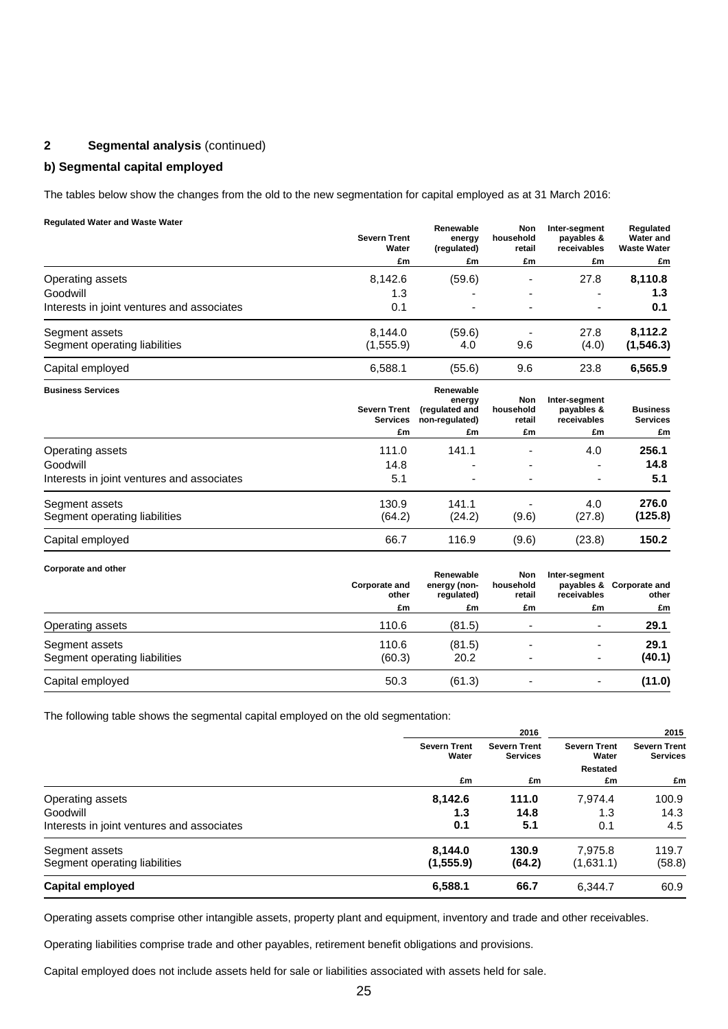# **2 Segmental analysis** (continued)

### **b) Segmental capital employed**

The tables below show the changes from the old to the new segmentation for capital employed as at 31 March 2016:

### **Regulated Water and Waste Water**

|                                            | <b>Severn Trent</b><br>Water | Renewable<br>energy<br>(regulated) | Non<br>household<br>retail | Inter-segment<br>payables &<br>receivables | Regulated<br><b>Water and</b><br><b>Waste Water</b> |
|--------------------------------------------|------------------------------|------------------------------------|----------------------------|--------------------------------------------|-----------------------------------------------------|
|                                            | £m                           | £m                                 | £m                         | £m                                         | £m                                                  |
| Operating assets                           | 8.142.6                      | (59.6)                             |                            | 27.8                                       | 8,110.8                                             |
| Goodwill                                   | 1.3                          |                                    |                            | $\overline{\phantom{0}}$                   | 1.3                                                 |
| Interests in joint ventures and associates | 0.1                          | ۰                                  | ۰                          | $\overline{\phantom{0}}$                   | 0.1                                                 |
| Segment assets                             | 8.144.0                      | (59.6)                             |                            | 27.8                                       | 8.112.2                                             |
| Segment operating liabilities              | (1,555.9)                    | 4.0                                | 9.6                        | (4.0)                                      | (1, 546.3)                                          |
| Capital employed                           | 6.588.1                      | (55.6)                             | 9.6                        | 23.8                                       | 6,565.9                                             |

| <b>Business Services</b>                   | <b>Severn Trent</b><br><b>Services</b> | Renewable<br>energy<br>(regulated and<br>non-regulated) | Non<br>household<br>retail | Inter-segment<br>payables &<br>receivables | <b>Business</b><br><b>Services</b> |
|--------------------------------------------|----------------------------------------|---------------------------------------------------------|----------------------------|--------------------------------------------|------------------------------------|
|                                            | £m                                     | £m                                                      | £m                         | £m                                         | £m                                 |
| Operating assets                           | 111.0                                  | 141.1                                                   |                            | 4.0                                        | 256.1                              |
| Goodwill                                   | 14.8                                   |                                                         |                            | $\overline{\phantom{0}}$                   | 14.8                               |
| Interests in joint ventures and associates | 5.1                                    | $\overline{\phantom{0}}$                                | $\overline{\phantom{0}}$   | $\overline{\phantom{a}}$                   | 5.1                                |
| Segment assets                             | 130.9                                  | 141.1                                                   |                            | 4.0                                        | 276.0                              |
| Segment operating liabilities              | (64.2)                                 | (24.2)                                                  | (9.6)                      | (27.8)                                     | (125.8)                            |
| Capital employed                           | 66.7                                   | 116.9                                                   | (9.6)                      | (23.8)                                     | 150.2                              |

#### **Corporate and other**

|                                                 | Corporate and<br>other | Renewable<br>energy (non-<br>regulated) | <b>Non</b><br>household<br>retail | Inter-segment<br>receivables | payables & Corporate and<br>other |    |
|-------------------------------------------------|------------------------|-----------------------------------------|-----------------------------------|------------------------------|-----------------------------------|----|
|                                                 | £m                     |                                         | £m                                | £m                           | £m                                | £m |
| Operating assets                                | 110.6                  | (81.5)                                  |                                   | $\overline{a}$               | 29.1                              |    |
| Segment assets<br>Segment operating liabilities | 110.6<br>(60.3)        | (81.5)<br>20.2                          |                                   |                              | 29.1<br>(40.1)                    |    |
| Capital employed                                | 50.3                   | (61.3)                                  |                                   | -                            | (11.0)                            |    |

The following table shows the segmental capital employed on the old segmentation:

|                                            | 2016                               |                                        |                                          | 2015                                   |
|--------------------------------------------|------------------------------------|----------------------------------------|------------------------------------------|----------------------------------------|
|                                            | <b>Severn Trent</b><br>Water<br>£m | <b>Severn Trent</b><br><b>Services</b> | <b>Severn Trent</b><br>Water<br>Restated | <b>Severn Trent</b><br><b>Services</b> |
|                                            |                                    | £m                                     | £m                                       | £m                                     |
| Operating assets                           | 8,142.6                            | 111.0                                  | 7,974.4                                  | 100.9                                  |
| Goodwill                                   | 1.3                                | 14.8                                   | 1.3                                      | 14.3                                   |
| Interests in joint ventures and associates | 0.1                                | 5.1                                    | 0.1                                      | 4.5                                    |
| Segment assets                             | 8,144.0                            | 130.9                                  | 7.975.8                                  | 119.7                                  |
| Segment operating liabilities              | (1, 555.9)                         | (64.2)                                 | (1,631.1)                                | (58.8)                                 |
| Capital employed                           | 6,588.1                            | 66.7                                   | 6,344.7                                  | 60.9                                   |

Operating assets comprise other intangible assets, property plant and equipment, inventory and trade and other receivables.

Operating liabilities comprise trade and other payables, retirement benefit obligations and provisions.

Capital employed does not include assets held for sale or liabilities associated with assets held for sale.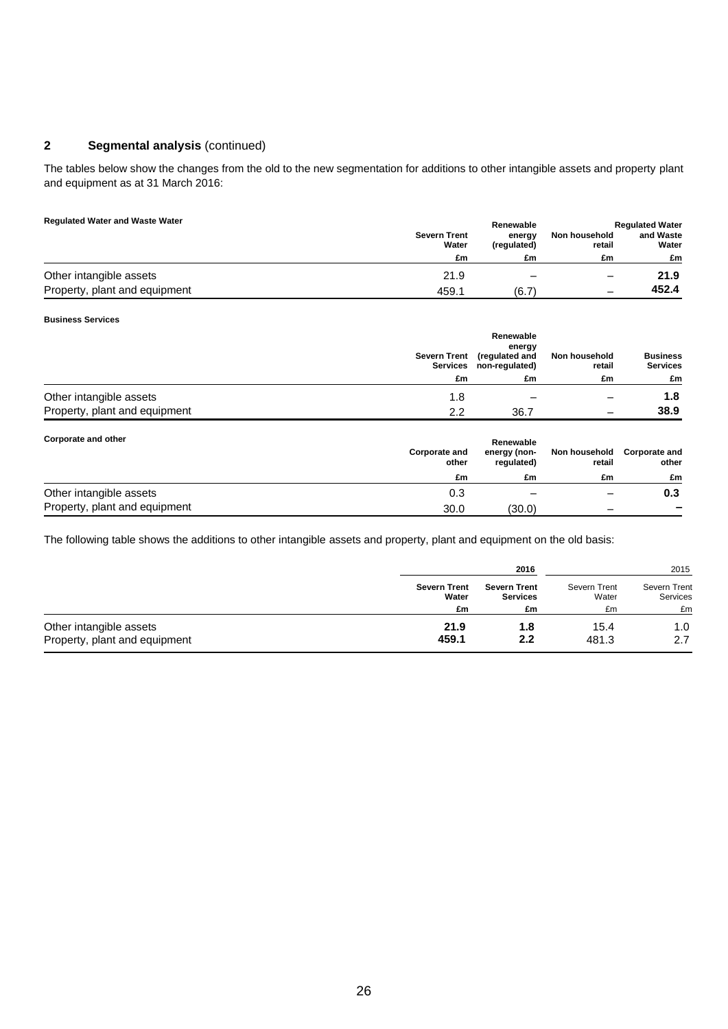# **2 Segmental analysis** (continued)

The tables below show the changes from the old to the new segmentation for additions to other intangible assets and property plant and equipment as at 31 March 2016:

#### **Regulated Water and Waste Water**

| <b>Regulated Water and Waste Water</b> |                              | Renewable             |                         | <b>Regulated Water</b> |
|----------------------------------------|------------------------------|-----------------------|-------------------------|------------------------|
|                                        | <b>Severn Trent</b><br>Water | energy<br>(regulated) | Non household<br>retail | and Waste<br>Water     |
|                                        | £m                           | £m                    | £m                      | £m                     |
| Other intangible assets                | 21.9                         | -                     |                         | 21.9                   |
| Property, plant and equipment          | 459.1                        | (6.7`                 |                         | 452.4                  |

#### **Business Services**

|                               | <b>Severn Trent</b> | Renewable<br>energy<br>(regulated and<br>Services non-regulated) | Non household<br>retail | <b>Business</b><br><b>Services</b> |
|-------------------------------|---------------------|------------------------------------------------------------------|-------------------------|------------------------------------|
|                               | £m                  | £m                                                               | £m                      | £m                                 |
| Other intangible assets       | 1.8                 |                                                                  |                         | 1.8                                |
| Property, plant and equipment | 2.2                 | 36.7                                                             | -                       | 38.9                               |

| Corporate and other           | <b>Corporate and</b><br>other | Renewable<br>energy (non-<br>regulated) | Non household<br>retail | <b>Corporate and</b><br>other |
|-------------------------------|-------------------------------|-----------------------------------------|-------------------------|-------------------------------|
|                               | £m                            | £m                                      | £m                      | £m                            |
| Other intangible assets       | 0.3                           |                                         | -                       | 0.3                           |
| Property, plant and equipment | 30.0                          | (30.0)                                  | -                       |                               |

The following table shows the additions to other intangible assets and property, plant and equipment on the old basis:

|                               |                     | 2016                |              |                     |  | 2015 |  |
|-------------------------------|---------------------|---------------------|--------------|---------------------|--|------|--|
|                               | <b>Severn Trent</b> | <b>Severn Trent</b> | Severn Trent | <b>Severn Trent</b> |  |      |  |
|                               | Water               | <b>Services</b>     | Water        | Services            |  |      |  |
|                               | £m                  | £m                  | £m           | £m                  |  |      |  |
| Other intangible assets       | 21.9                | 1.8                 | 15.4         | 1.0                 |  |      |  |
| Property, plant and equipment | 459.1               | 2.2                 | 481.3        | 2.7                 |  |      |  |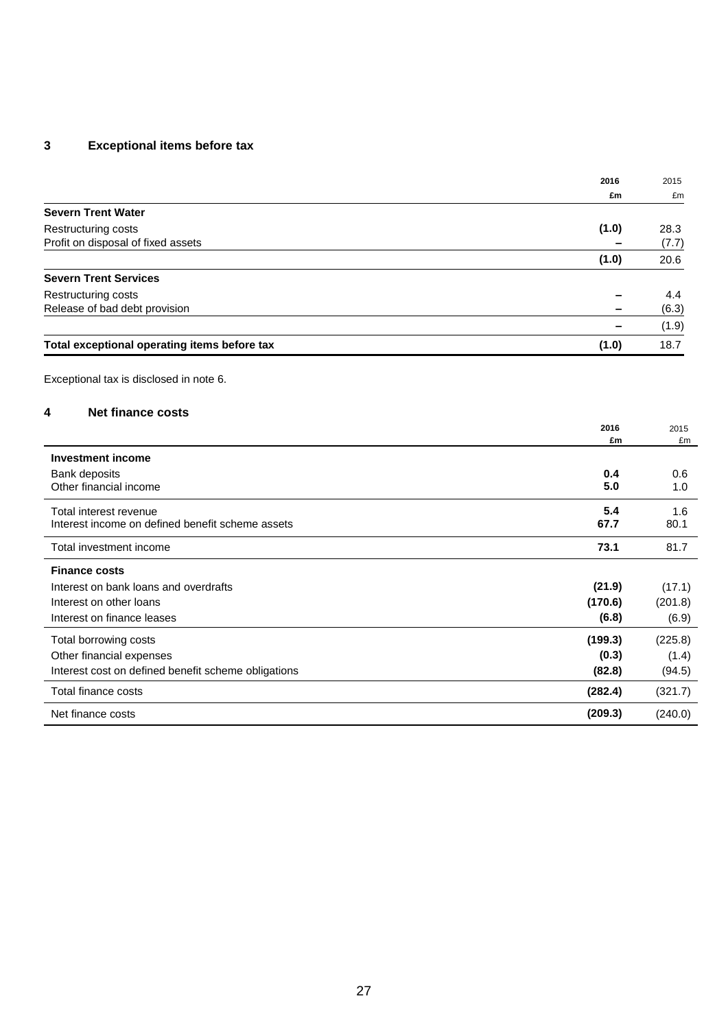# **3 Exceptional items before tax**

|                                                     | 2016       | 2015       |
|-----------------------------------------------------|------------|------------|
|                                                     | £m         | £m         |
| <b>Severn Trent Water</b>                           |            |            |
| Restructuring costs                                 | (1.0)      | 28.3       |
| Profit on disposal of fixed assets                  |            | (7.7)      |
|                                                     | (1.0)      | 20.6       |
| <b>Severn Trent Services</b>                        |            |            |
| Restructuring costs                                 |            | 4.4        |
| Release of bad debt provision                       |            | (6.3)      |
|                                                     | $\equiv$   | (1.9)      |
| Total exceptional operating items before tax        | (1.0)      | 18.7       |
| Exceptional tax is disclosed in note 6.             |            |            |
| <b>Net finance costs</b><br>4                       |            |            |
|                                                     | 2016<br>£m | 2015<br>£m |
| <b>Investment income</b>                            |            |            |
| Bank deposits                                       | 0.4        | 0.6        |
| Other financial income                              | 5.0        | 1.0        |
| Total interest revenue                              | 5.4        | 1.6        |
| Interest income on defined benefit scheme assets    | 67.7       | 80.1       |
| Total investment income                             | 73.1       | 81.7       |
| <b>Finance costs</b>                                |            |            |
| Interest on bank loans and overdrafts               | (21.9)     | (17.1)     |
| Interest on other loans                             | (170.6)    | (201.8)    |
| Interest on finance leases                          | (6.8)      | (6.9)      |
| Total borrowing costs                               | (199.3)    | (225.8)    |
| Other financial expenses                            | (0.3)      | (1.4)      |
| Interest cost on defined benefit scheme obligations | (82.8)     | (94.5)     |
| Total finance costs                                 | (282.4)    | (321.7)    |
| Net finance costs                                   | (209.3)    | (240.0)    |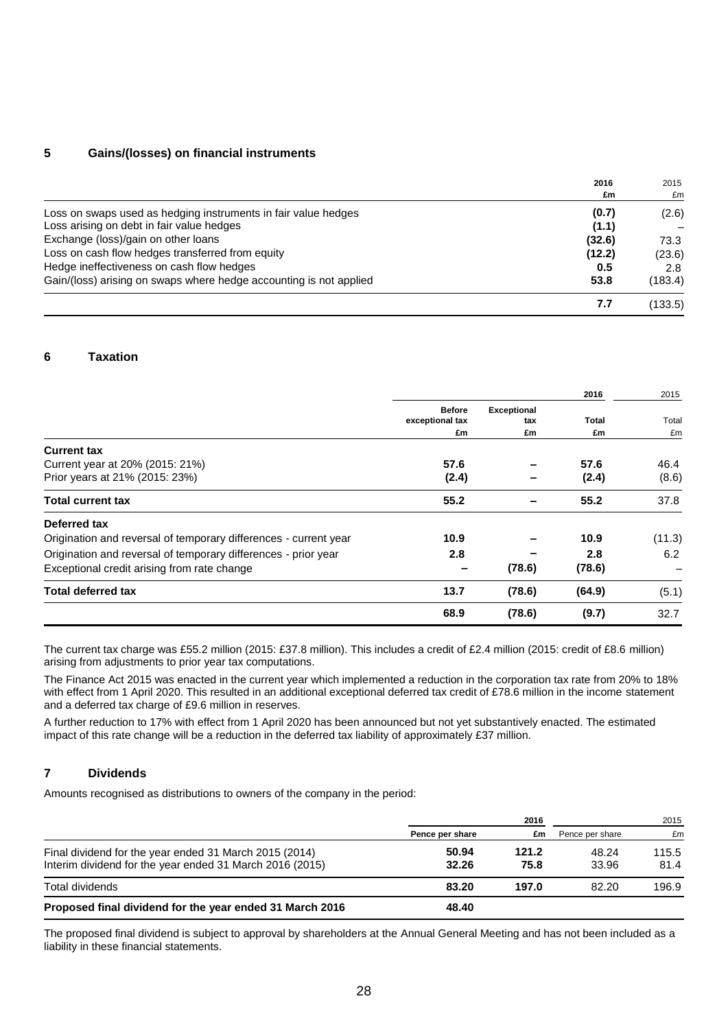### **5 Gains/(losses) on financial instruments**

|                                                                    | 2016   | 2015    |
|--------------------------------------------------------------------|--------|---------|
|                                                                    | £m     | £m      |
| Loss on swaps used as hedging instruments in fair value hedges     | (0.7)  | (2.6)   |
| Loss arising on debt in fair value hedges                          | (1.1)  |         |
| Exchange (loss)/gain on other loans                                | (32.6) | 73.3    |
| Loss on cash flow hedges transferred from equity                   | (12.2) | (23.6)  |
| Hedge ineffectiveness on cash flow hedges                          | 0.5    | 2.8     |
| Gain/(loss) arising on swaps where hedge accounting is not applied | 53.8   | (183.4) |
|                                                                    | 7.7    | (133.5) |

### **6 Taxation**

|                                                                  |                                  |                           | 2016   | 2015   |
|------------------------------------------------------------------|----------------------------------|---------------------------|--------|--------|
|                                                                  | <b>Before</b><br>exceptional tax | <b>Exceptional</b><br>tax | Total  | Total  |
|                                                                  | £m                               | £m                        | £m     | £m     |
| <b>Current tax</b>                                               |                                  |                           |        |        |
| Current year at 20% (2015: 21%)                                  | 57.6                             |                           | 57.6   | 46.4   |
| Prior years at 21% (2015: 23%)                                   | (2.4)                            |                           | (2.4)  | (8.6)  |
| <b>Total current tax</b>                                         | 55.2                             |                           | 55.2   | 37.8   |
| Deferred tax                                                     |                                  |                           |        |        |
| Origination and reversal of temporary differences - current year | 10.9                             |                           | 10.9   | (11.3) |
| Origination and reversal of temporary differences - prior year   | 2.8                              |                           | 2.8    | 6.2    |
| Exceptional credit arising from rate change                      |                                  | (78.6)                    | (78.6) |        |
| <b>Total deferred tax</b>                                        | 13.7                             | (78.6)                    | (64.9) | (5.1)  |
|                                                                  | 68.9                             | (78.6)                    | (9.7)  | 32.7   |

The current tax charge was £55.2 million (2015: £37.8 million). This includes a credit of £2.4 million (2015: credit of £8.6 million) arising from adjustments to prior year tax computations.

The Finance Act 2015 was enacted in the current year which implemented a reduction in the corporation tax rate from 20% to 18% with effect from 1 April 2020. This resulted in an additional exceptional deferred tax credit of £78.6 million in the income statement and a deferred tax charge of £9.6 million in reserves.

A further reduction to 17% with effect from 1 April 2020 has been announced but not yet substantively enacted. The estimated impact of this rate change will be a reduction in the deferred tax liability of approximately £37 million.

### **7 Dividends**

Amounts recognised as distributions to owners of the company in the period:

|                                                                                                                    | 2016            |               |                 | 2015          |  |
|--------------------------------------------------------------------------------------------------------------------|-----------------|---------------|-----------------|---------------|--|
|                                                                                                                    | Pence per share | £m            | Pence per share | £m            |  |
| Final dividend for the year ended 31 March 2015 (2014)<br>Interim dividend for the year ended 31 March 2016 (2015) | 50.94<br>32.26  | 121.2<br>75.8 | 48.24<br>33.96  | 115.5<br>81.4 |  |
| Total dividends                                                                                                    | 83.20           | 197.0         | 82.20           | 196.9         |  |
| Proposed final dividend for the year ended 31 March 2016                                                           | 48.40           |               |                 |               |  |

The proposed final dividend is subject to approval by shareholders at the Annual General Meeting and has not been included as a liability in these financial statements.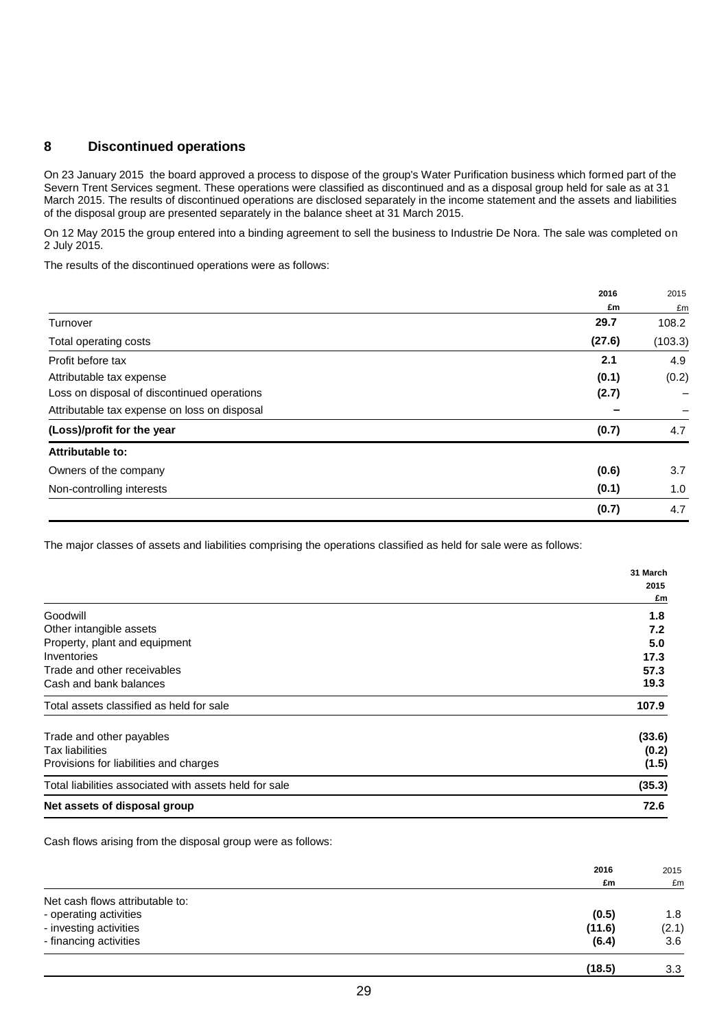### **8 Discontinued operations**

On 23 January 2015 the board approved a process to dispose of the group's Water Purification business which formed part of the Severn Trent Services segment. These operations were classified as discontinued and as a disposal group held for sale as at 31 March 2015. The results of discontinued operations are disclosed separately in the income statement and the assets and liabilities of the disposal group are presented separately in the balance sheet at 31 March 2015.

On 12 May 2015 the group entered into a binding agreement to sell the business to Industrie De Nora. The sale was completed on 2 July 2015.

The results of the discontinued operations were as follows:

|                                              | 2016   | 2015    |
|----------------------------------------------|--------|---------|
|                                              | £m     | £m      |
| Turnover                                     | 29.7   | 108.2   |
| Total operating costs                        | (27.6) | (103.3) |
| Profit before tax                            | 2.1    | 4.9     |
| Attributable tax expense                     | (0.1)  | (0.2)   |
| Loss on disposal of discontinued operations  | (2.7)  |         |
| Attributable tax expense on loss on disposal |        | -       |
| (Loss)/profit for the year                   | (0.7)  | 4.7     |
| Attributable to:                             |        |         |
| Owners of the company                        | (0.6)  | 3.7     |
| Non-controlling interests                    | (0.1)  | 1.0     |
|                                              | (0.7)  | 4.7     |

The major classes of assets and liabilities comprising the operations classified as held for sale were as follows:

|                                                        | 31 March |
|--------------------------------------------------------|----------|
|                                                        | 2015     |
|                                                        | £m       |
| Goodwill                                               | 1.8      |
| Other intangible assets                                | 7.2      |
| Property, plant and equipment                          | 5.0      |
| Inventories                                            | 17.3     |
| Trade and other receivables                            | 57.3     |
| Cash and bank balances                                 | 19.3     |
| Total assets classified as held for sale               | 107.9    |
| Trade and other payables                               | (33.6)   |
| <b>Tax liabilities</b>                                 | (0.2)    |
| Provisions for liabilities and charges                 | (1.5)    |
| Total liabilities associated with assets held for sale | (35.3)   |
| Net assets of disposal group                           | 72.6     |

Cash flows arising from the disposal group were as follows:

|                                 | 2016   | 2015  |
|---------------------------------|--------|-------|
|                                 | £m     | £m    |
| Net cash flows attributable to: |        |       |
| - operating activities          | (0.5)  | 1.8   |
| - investing activities          | (11.6) | (2.1) |
| - financing activities          | (6.4)  | 3.6   |
|                                 | (18.5) | 3.3   |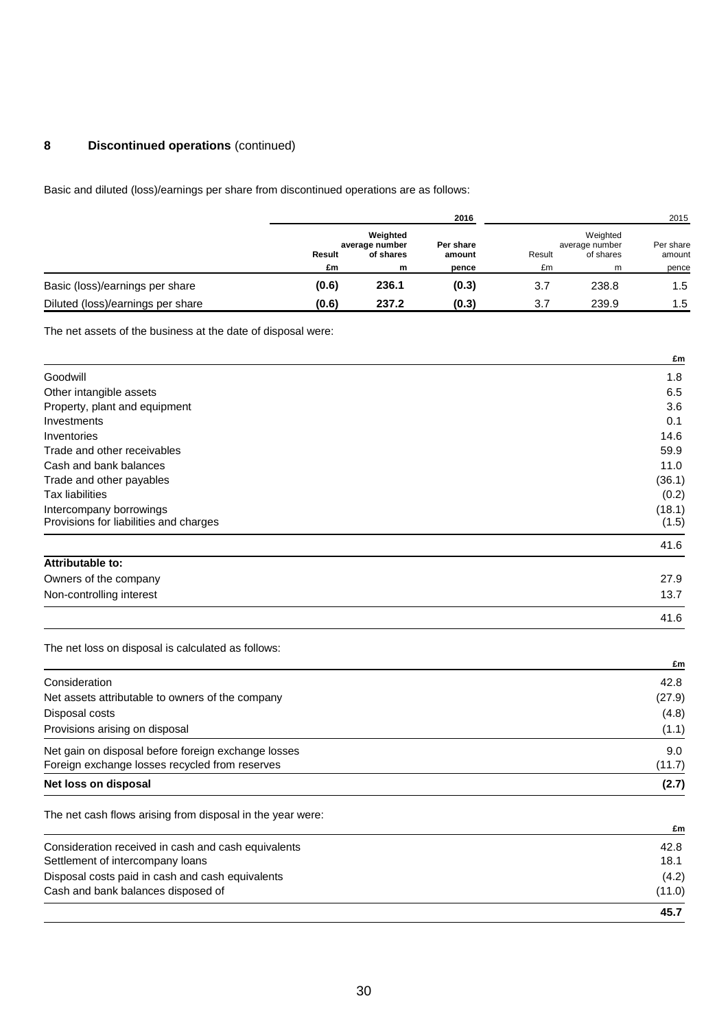# **8 Discontinued operations** (continued)

Basic and diluted (loss)/earnings per share from discontinued operations are as follows:

|                                   |                     |                                              | 2016                         |              |                                              | 2015                         |  |
|-----------------------------------|---------------------|----------------------------------------------|------------------------------|--------------|----------------------------------------------|------------------------------|--|
|                                   | <b>Result</b><br>£m | Weighted<br>average number<br>of shares<br>m | Per share<br>amount<br>pence | Result<br>£m | Weighted<br>average number<br>of shares<br>m | Per share<br>amount<br>pence |  |
| Basic (loss)/earnings per share   | (0.6)               | 236.1                                        | (0.3)                        | 3.7          | 238.8                                        | 1.5                          |  |
| Diluted (loss)/earnings per share | (0.6)               | 237.2                                        | (0.3)                        | 3.7          | 239.9                                        | 1.5                          |  |

The net assets of the business at the date of disposal were:

|                                                    | £m     |
|----------------------------------------------------|--------|
| Goodwill                                           | 1.8    |
| Other intangible assets                            | 6.5    |
| Property, plant and equipment                      | 3.6    |
| Investments                                        | 0.1    |
| Inventories                                        | 14.6   |
| Trade and other receivables                        | 59.9   |
| Cash and bank balances                             | 11.0   |
| Trade and other payables                           | (36.1) |
| <b>Tax liabilities</b>                             | (0.2)  |
| Intercompany borrowings                            | (18.1) |
| Provisions for liabilities and charges             | (1.5)  |
|                                                    | 41.6   |
| Attributable to:                                   |        |
| Owners of the company                              | 27.9   |
| Non-controlling interest                           | 13.7   |
|                                                    | 41.6   |
| The net loss on disposal is calculated as follows: |        |
|                                                    | £m     |

| Net loss on disposal                                                                                  | (2.7)         |
|-------------------------------------------------------------------------------------------------------|---------------|
| Net gain on disposal before foreign exchange losses<br>Foreign exchange losses recycled from reserves | 9.0<br>(11.7) |
| Provisions arising on disposal                                                                        | (1.1)         |
| Disposal costs                                                                                        | (4.8)         |
| Net assets attributable to owners of the company                                                      | (27.9)        |
| Consideration                                                                                         | 42.8          |

The net cash flows arising from disposal in the year were:

|                                                     | £m     |
|-----------------------------------------------------|--------|
| Consideration received in cash and cash equivalents | 42.8   |
| Settlement of intercompany loans                    | 18.1   |
| Disposal costs paid in cash and cash equivalents    | (4.2)  |
| Cash and bank balances disposed of                  | (11.0) |
|                                                     | 45.7   |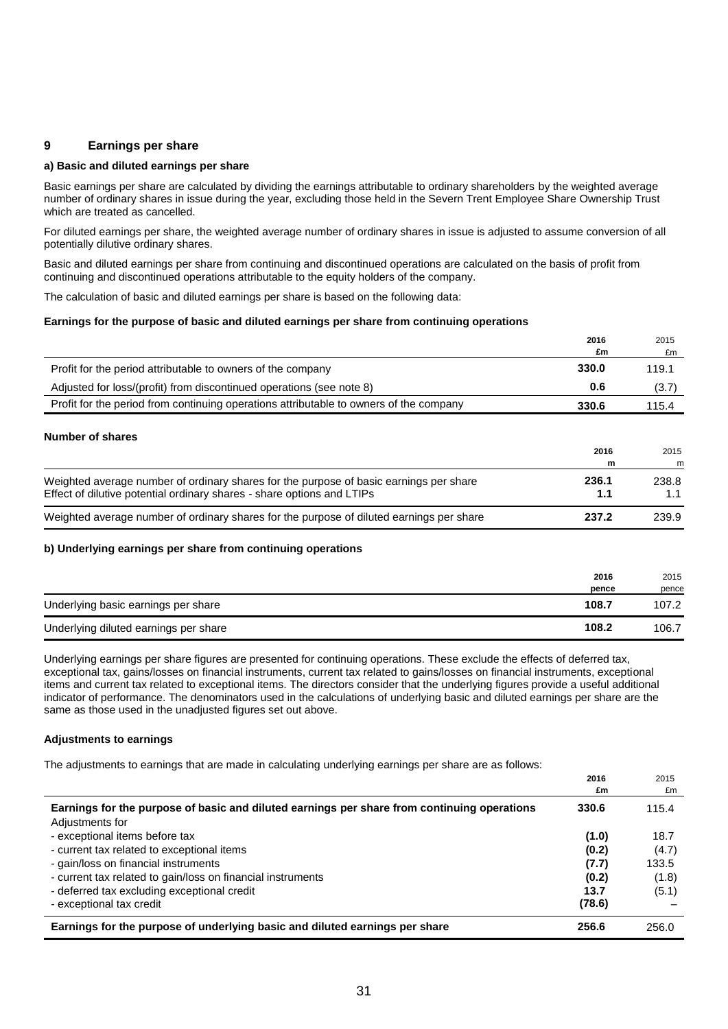### **9 Earnings per share**

#### **a) Basic and diluted earnings per share**

Basic earnings per share are calculated by dividing the earnings attributable to ordinary shareholders by the weighted average number of ordinary shares in issue during the year, excluding those held in the Severn Trent Employee Share Ownership Trust which are treated as cancelled.

For diluted earnings per share, the weighted average number of ordinary shares in issue is adjusted to assume conversion of all potentially dilutive ordinary shares.

Basic and diluted earnings per share from continuing and discontinued operations are calculated on the basis of profit from continuing and discontinued operations attributable to the equity holders of the company.

The calculation of basic and diluted earnings per share is based on the following data:

#### **Earnings for the purpose of basic and diluted earnings per share from continuing operations**

|                                                                                        | 2016  | 2015  |
|----------------------------------------------------------------------------------------|-------|-------|
|                                                                                        | £m    | £m    |
| Profit for the period attributable to owners of the company                            | 330.0 | 119.1 |
| Adjusted for loss/(profit) from discontinued operations (see note 8)                   | 0.6   | (3.7) |
| Profit for the period from continuing operations attributable to owners of the company | 330.6 | 115.4 |

#### **Number of shares**

|                                                                                                                                                                  | 2016              | 2015              |
|------------------------------------------------------------------------------------------------------------------------------------------------------------------|-------------------|-------------------|
| Weighted average number of ordinary shares for the purpose of basic earnings per share<br>Effect of dilutive potential ordinary shares - share options and LTIPs | m<br>236.1<br>1.1 | m<br>238.8<br>1.1 |
| Weighted average number of ordinary shares for the purpose of diluted earnings per share                                                                         | 237.2             | 239.9             |

#### **b) Underlying earnings per share from continuing operations**

|                                       | 2016<br>pence | 2015<br>pence |
|---------------------------------------|---------------|---------------|
| Underlying basic earnings per share   | 108.7         | 107.2         |
| Underlying diluted earnings per share | 108.2         | 106.7         |

Underlying earnings per share figures are presented for continuing operations. These exclude the effects of deferred tax, exceptional tax, gains/losses on financial instruments, current tax related to gains/losses on financial instruments, exceptional items and current tax related to exceptional items. The directors consider that the underlying figures provide a useful additional indicator of performance. The denominators used in the calculations of underlying basic and diluted earnings per share are the same as those used in the unadjusted figures set out above.

#### **Adjustments to earnings**

The adjustments to earnings that are made in calculating underlying earnings per share are as follows:

|                                                                                                                                        | 2016<br>£m              | 2015<br>£m     |
|----------------------------------------------------------------------------------------------------------------------------------------|-------------------------|----------------|
| Earnings for the purpose of basic and diluted earnings per share from continuing operations<br>Adjustments for                         | 330.6                   | 115.4          |
| - exceptional items before tax<br>- current tax related to exceptional items                                                           | (1.0)<br>(0.2)          | 18.7<br>(4.7)  |
| - gain/loss on financial instruments                                                                                                   | (7.7)                   | 133.5          |
| - current tax related to gain/loss on financial instruments<br>- deferred tax excluding exceptional credit<br>- exceptional tax credit | (0.2)<br>13.7<br>(78.6) | (1.8)<br>(5.1) |
| Earnings for the purpose of underlying basic and diluted earnings per share                                                            | 256.6                   | 256.0          |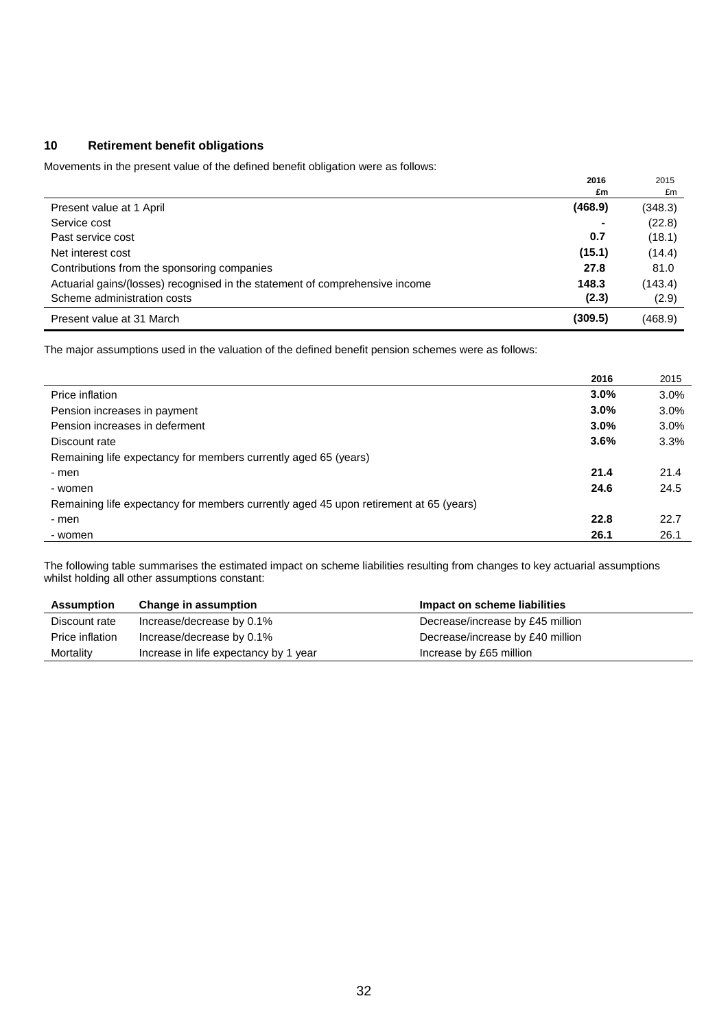### **10 Retirement benefit obligations**

Movements in the present value of the defined benefit obligation were as follows:

|                                                                              | 2016    | 2015    |
|------------------------------------------------------------------------------|---------|---------|
|                                                                              | £m      | £m      |
| Present value at 1 April                                                     | (468.9) | (348.3) |
| Service cost                                                                 |         | (22.8)  |
| Past service cost                                                            | 0.7     | (18.1)  |
| Net interest cost                                                            | (15.1)  | (14.4)  |
| Contributions from the sponsoring companies                                  | 27.8    | 81.0    |
| Actuarial gains/(losses) recognised in the statement of comprehensive income | 148.3   | (143.4) |
| Scheme administration costs                                                  | (2.3)   | (2.9)   |
| Present value at 31 March                                                    | (309.5) | (468.9) |

The major assumptions used in the valuation of the defined benefit pension schemes were as follows:

|                                                                                       | 2016 | 2015 |
|---------------------------------------------------------------------------------------|------|------|
| Price inflation                                                                       | 3.0% | 3.0% |
| Pension increases in payment                                                          | 3.0% | 3.0% |
| Pension increases in deferment                                                        | 3.0% | 3.0% |
| Discount rate                                                                         | 3.6% | 3.3% |
| Remaining life expectancy for members currently aged 65 (years)                       |      |      |
| - men                                                                                 | 21.4 | 21.4 |
| - women                                                                               | 24.6 | 24.5 |
| Remaining life expectancy for members currently aged 45 upon retirement at 65 (years) |      |      |
| - men                                                                                 | 22.8 | 22.7 |
| - women                                                                               | 26.1 | 26.1 |

The following table summarises the estimated impact on scheme liabilities resulting from changes to key actuarial assumptions whilst holding all other assumptions constant:

| <b>Assumption</b> | <b>Change in assumption</b>           | Impact on scheme liabilities     |
|-------------------|---------------------------------------|----------------------------------|
| Discount rate     | Increase/decrease by 0.1%             | Decrease/increase by £45 million |
| Price inflation   | Increase/decrease by 0.1%             | Decrease/increase by £40 million |
| Mortality         | Increase in life expectancy by 1 year | Increase by £65 million          |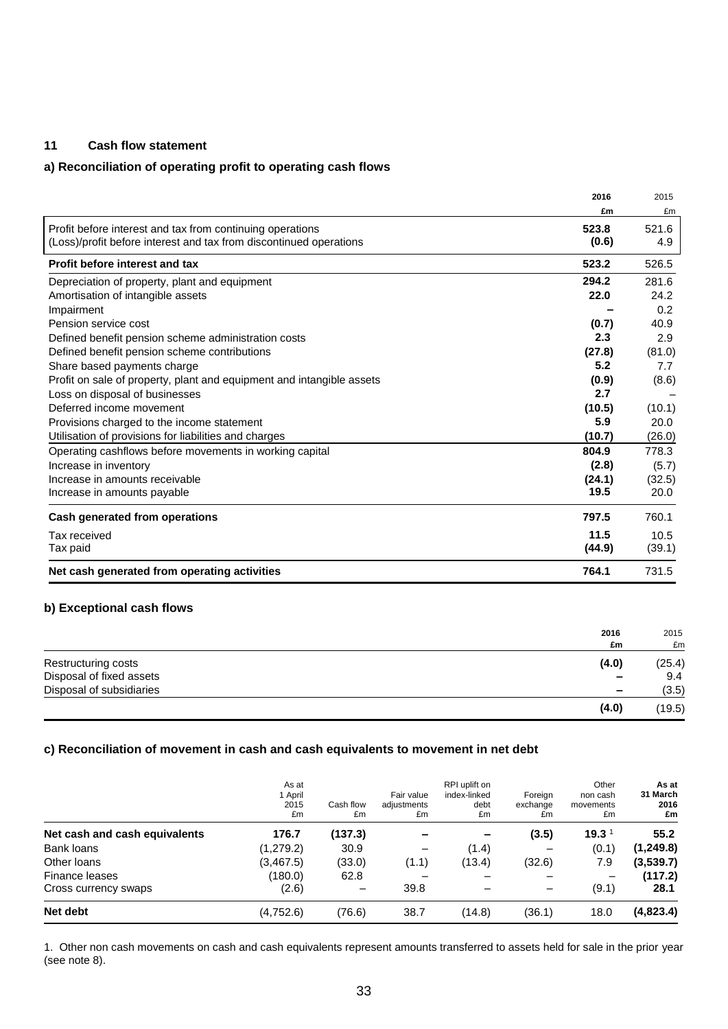# **11 Cash flow statement**

### **a) Reconciliation of operating profit to operating cash flows**

|                                                                       | 2016   | 2015   |
|-----------------------------------------------------------------------|--------|--------|
|                                                                       | £m     | £m     |
| Profit before interest and tax from continuing operations             | 523.8  | 521.6  |
| (Loss)/profit before interest and tax from discontinued operations    | (0.6)  | 4.9    |
| Profit before interest and tax                                        | 523.2  | 526.5  |
| Depreciation of property, plant and equipment                         | 294.2  | 281.6  |
| Amortisation of intangible assets                                     | 22.0   | 24.2   |
| Impairment                                                            |        | 0.2    |
| Pension service cost                                                  | (0.7)  | 40.9   |
| Defined benefit pension scheme administration costs                   | 2.3    | 2.9    |
| Defined benefit pension scheme contributions                          | (27.8) | (81.0) |
| Share based payments charge                                           | 5.2    | 7.7    |
| Profit on sale of property, plant and equipment and intangible assets | (0.9)  | (8.6)  |
| Loss on disposal of businesses                                        | 2.7    |        |
| Deferred income movement                                              | (10.5) | (10.1) |
| Provisions charged to the income statement                            | 5.9    | 20.0   |
| Utilisation of provisions for liabilities and charges                 | (10.7) | (26.0) |
| Operating cashflows before movements in working capital               | 804.9  | 778.3  |
| Increase in inventory                                                 | (2.8)  | (5.7)  |
| Increase in amounts receivable                                        | (24.1) | (32.5) |
| Increase in amounts payable                                           | 19.5   | 20.0   |
| Cash generated from operations                                        | 797.5  | 760.1  |
| Tax received                                                          | 11.5   | 10.5   |
| Tax paid                                                              | (44.9) | (39.1) |
| Net cash generated from operating activities                          | 764.1  | 731.5  |

### **b) Exceptional cash flows**

|                          | 2016<br>£m               | 2015<br>£m |
|--------------------------|--------------------------|------------|
| Restructuring costs      | (4.0)                    | (25.4)     |
| Disposal of fixed assets | $\qquad \qquad$          | 9.4        |
| Disposal of subsidiaries | $\overline{\phantom{a}}$ | (3.5)      |
|                          | (4.0)                    | (19.5)     |

### **c) Reconciliation of movement in cash and cash equivalents to movement in net debt**

|                               | As at<br>1 April<br>2015<br>£m | Cash flow<br>£m | Fair value<br>adjustments<br>£m | RPI uplift on<br>index-linked<br>debt<br>£m | Foreian<br>exchange<br>£m | Other<br>non cash<br>movements<br>£m | As at<br>31 March<br>2016<br>£m |
|-------------------------------|--------------------------------|-----------------|---------------------------------|---------------------------------------------|---------------------------|--------------------------------------|---------------------------------|
| Net cash and cash equivalents | 176.7                          | (137.3)         |                                 | $\overline{\phantom{0}}$                    | (3.5)                     | 19.3 $1$                             | 55.2                            |
| Bank loans                    | (1,279.2)                      | 30.9            |                                 | (1.4)                                       |                           | (0.1)                                | (1, 249.8)                      |
| Other loans                   | (3, 467.5)                     | (33.0)          | (1.1)                           | (13.4)                                      | (32.6)                    | 7.9                                  | (3,539.7)                       |
| Finance leases                | (180.0)                        | 62.8            |                                 |                                             | -                         |                                      | (117.2)                         |
| Cross currency swaps          | (2.6)                          |                 | 39.8                            |                                             | $\overline{\phantom{0}}$  | (9.1)                                | 28.1                            |
| Net debt                      | (4,752.6)                      | (76.6)          | 38.7                            | (14.8)                                      | (36.1)                    | 18.0                                 | (4,823.4)                       |

1. Other non cash movements on cash and cash equivalents represent amounts transferred to assets held for sale in the prior year (see note 8).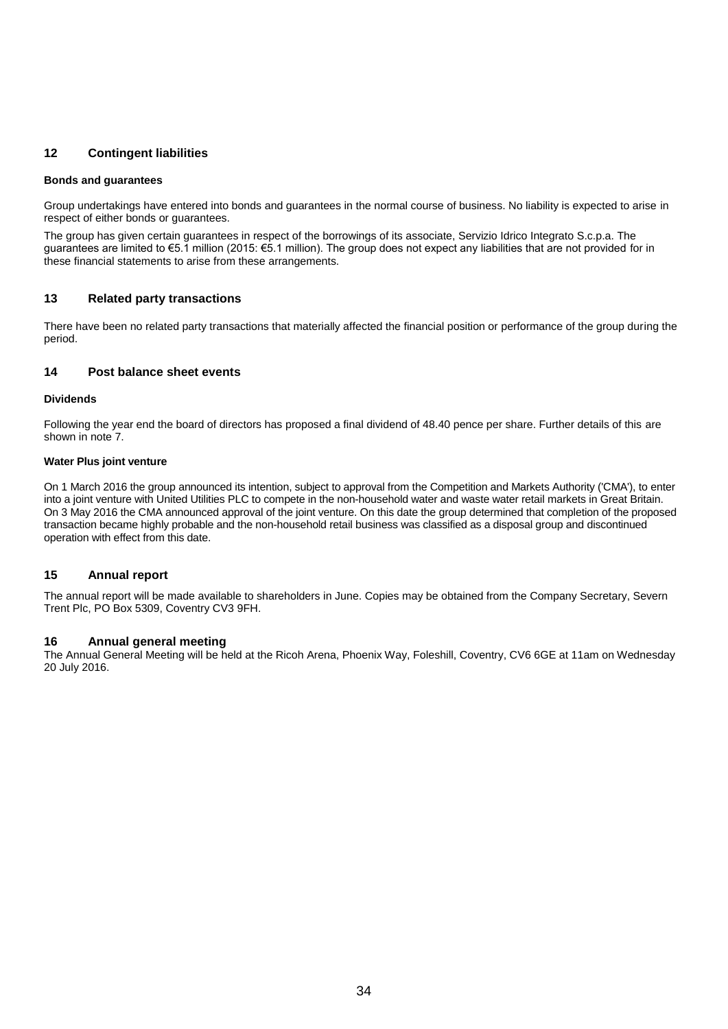### **12 Contingent liabilities**

#### **Bonds and guarantees**

Group undertakings have entered into bonds and guarantees in the normal course of business. No liability is expected to arise in respect of either bonds or guarantees.

The group has given certain guarantees in respect of the borrowings of its associate, Servizio Idrico Integrato S.c.p.a. The guarantees are limited to €5.1 million (2015: €5.1 million). The group does not expect any liabilities that are not provided for in these financial statements to arise from these arrangements.

### **13 Related party transactions**

There have been no related party transactions that materially affected the financial position or performance of the group during the period.

### **14 Post balance sheet events**

#### **Dividends**

Following the year end the board of directors has proposed a final dividend of 48.40 pence per share. Further details of this are shown in note 7.

#### **Water Plus joint venture**

On 1 March 2016 the group announced its intention, subject to approval from the Competition and Markets Authority ('CMA'), to enter into a joint venture with United Utilities PLC to compete in the non-household water and waste water retail markets in Great Britain. On 3 May 2016 the CMA announced approval of the joint venture. On this date the group determined that completion of the proposed transaction became highly probable and the non-household retail business was classified as a disposal group and discontinued operation with effect from this date.

### **15 Annual report**

The annual report will be made available to shareholders in June. Copies may be obtained from the Company Secretary, Severn Trent Plc, PO Box 5309, Coventry CV3 9FH.

### **16 Annual general meeting**

The Annual General Meeting will be held at the Ricoh Arena, Phoenix Way, Foleshill, Coventry, CV6 6GE at 11am on Wednesday 20 July 2016.